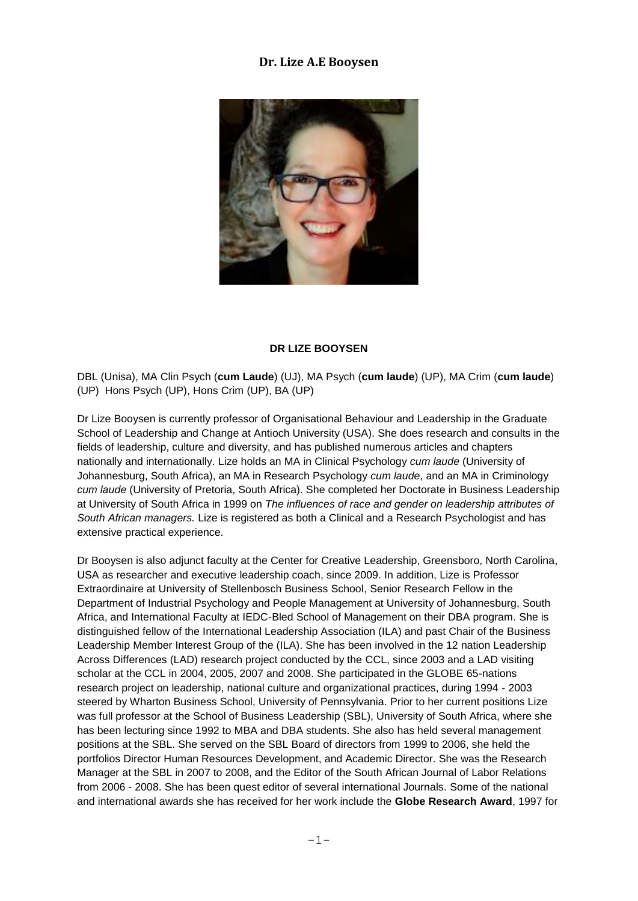# **Dr. Lize A.E Booysen**



### **DR LIZE BOOYSEN**

DBL (Unisa), MA Clin Psych (**cum Laude**) (UJ), MA Psych (**cum laude**) (UP), MA Crim (**cum laude**) (UP) Hons Psych (UP), Hons Crim (UP), BA (UP)

Dr Lize Booysen is currently professor of Organisational Behaviour and Leadership in the Graduate School of Leadership and Change at Antioch University (USA). She does research and consults in the fields of leadership, culture and diversity, and has published numerous articles and chapters nationally and internationally. Lize holds an MA in Clinical Psychology *cum laude* (University of Johannesburg, South Africa), an MA in Research Psychology *cum laude*, and an MA in Criminology *cum laude* (University of Pretoria, South Africa). She completed her Doctorate in Business Leadership at University of South Africa in 1999 on *The influences of race and gender on leadership attributes of South African managers.* Lize is registered as both a Clinical and a Research Psychologist and has extensive practical experience.

Dr Booysen is also adjunct faculty at the Center for Creative Leadership, Greensboro, North Carolina, USA as researcher and executive leadership coach, since 2009. In addition, Lize is Professor Extraordinaire at University of Stellenbosch Business School, Senior Research Fellow in the Department of Industrial Psychology and People Management at University of Johannesburg, South Africa, and International Faculty at IEDC-Bled School of Management on their DBA program. She is distinguished fellow of the International Leadership Association (ILA) and past Chair of the Business Leadership Member Interest Group of the (ILA). She has been involved in the 12 nation Leadership Across Differences (LAD) research project conducted by the CCL, since 2003 and a LAD visiting scholar at the CCL in 2004, 2005, 2007 and 2008. She participated in the GLOBE 65-nations research project on leadership, national culture and organizational practices, during 1994 - 2003 steered by Wharton Business School, University of Pennsylvania. Prior to her current positions Lize was full professor at the School of Business Leadership (SBL), University of South Africa, where she has been lecturing since 1992 to MBA and DBA students. She also has held several management positions at the SBL. She served on the SBL Board of directors from 1999 to 2006, she held the portfolios Director Human Resources Development, and Academic Director. She was the Research Manager at the SBL in 2007 to 2008, and the Editor of the South African Journal of Labor Relations from 2006 - 2008. She has been quest editor of several international Journals. Some of the national and international awards she has received for her work include the **Globe Research Award**, 1997 for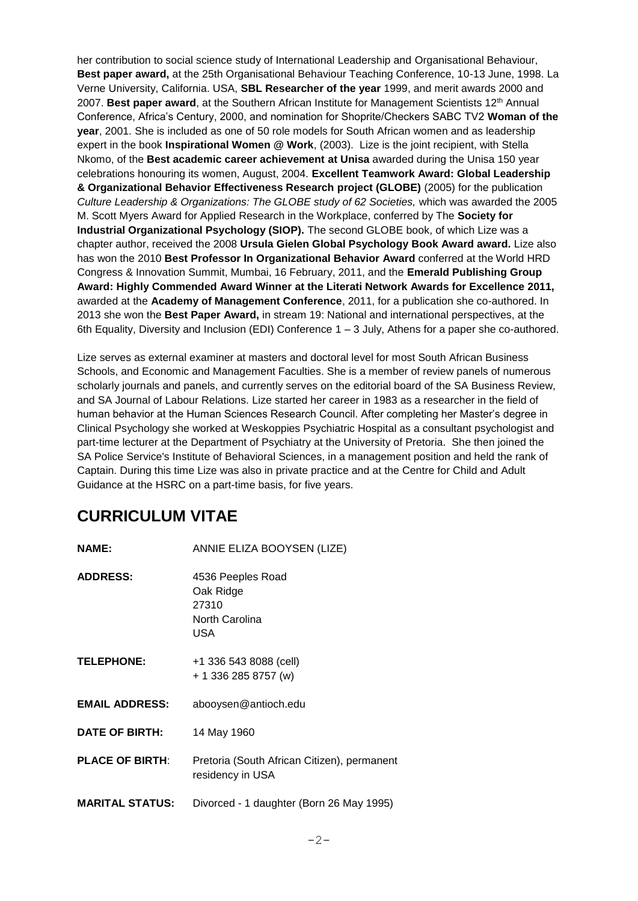her contribution to social science study of International Leadership and Organisational Behaviour, **Best paper award,** at the 25th Organisational Behaviour Teaching Conference, 10-13 June, 1998. La Verne University, California. USA, **SBL Researcher of the year** 1999, and merit awards 2000 and 2007. **Best paper award**, at the Southern African Institute for Management Scientists 12th Annual Conference, Africa's Century, 2000, and nomination for Shoprite/Checkers SABC TV2 **Woman of the year**, 2001. She is included as one of 50 role models for South African women and as leadership expert in the book **Inspirational Women @ Work**, (2003). Lize is the joint recipient, with Stella Nkomo, of the **Best academic career achievement at Unisa** awarded during the Unisa 150 year celebrations honouring its women, August, 2004. **Excellent Teamwork Award: Global Leadership & Organizational Behavior Effectiveness Research project (GLOBE)** (2005) for the publication *Culture Leadership & Organizations: The GLOBE study of 62 Societies,* which was awarded the 2005 M. Scott Myers Award for Applied Research in the Workplace, conferred by The **Society for Industrial Organizational Psychology (SIOP).** The second GLOBE book, of which Lize was a chapter author, received the 2008 **Ursula Gielen Global Psychology Book Award award.** Lize also has won the 2010 **Best Professor In Organizational Behavior Award** conferred at the World HRD Congress & Innovation Summit, Mumbai, 16 February, 2011, and the **Emerald Publishing Group Award: Highly Commended Award Winner at the Literati Network Awards for Excellence 2011,**  awarded at the **Academy of Management Conference**, 2011, for a publication she co-authored. In 2013 she won the **Best Paper Award,** in stream 19: National and international perspectives, at the 6th Equality, Diversity and Inclusion (EDI) Conference 1 – 3 July, Athens for a paper she co-authored.

Lize serves as external examiner at masters and doctoral level for most South African Business Schools, and Economic and Management Faculties. She is a member of review panels of numerous scholarly journals and panels, and currently serves on the editorial board of the SA Business Review, and SA Journal of Labour Relations. Lize started her career in 1983 as a researcher in the field of human behavior at the Human Sciences Research Council. After completing her Master's degree in Clinical Psychology she worked at Weskoppies Psychiatric Hospital as a consultant psychologist and part-time lecturer at the Department of Psychiatry at the University of Pretoria. She then joined the SA Police Service's Institute of Behavioral Sciences, in a management position and held the rank of Captain. During this time Lize was also in private practice and at the Centre for Child and Adult Guidance at the HSRC on a part-time basis, for five years.

# **CURRICULUM VITAE**

| <b>NAME:</b>           | ANNIE ELIZA BOOYSEN (LIZE)                                       |
|------------------------|------------------------------------------------------------------|
| <b>ADDRESS:</b>        | 4536 Peeples Road<br>Oak Ridge<br>27310<br>North Carolina<br>USA |
| <b>TELEPHONE:</b>      | +1 336 543 8088 (cell)<br>+ 1 336 285 8757 (w)                   |
| <b>EMAIL ADDRESS:</b>  | abooysen@antioch.edu                                             |
| <b>DATE OF BIRTH:</b>  | 14 May 1960                                                      |
| <b>PLACE OF BIRTH:</b> | Pretoria (South African Citizen), permanent<br>residency in USA  |
| <b>MARITAL STATUS:</b> | Divorced - 1 daughter (Born 26 May 1995)                         |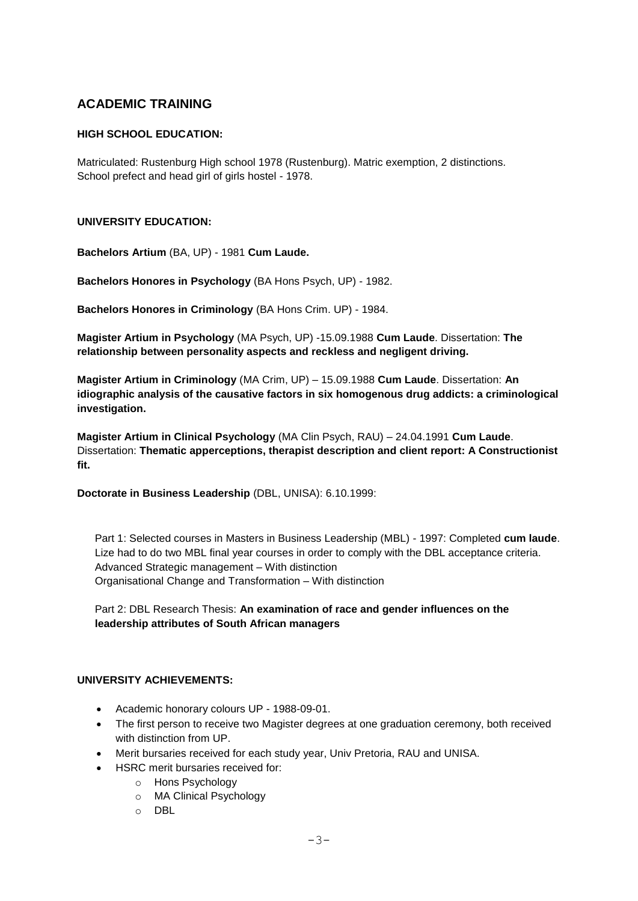# **ACADEMIC TRAINING**

# **HIGH SCHOOL EDUCATION:**

Matriculated: Rustenburg High school 1978 (Rustenburg). Matric exemption, 2 distinctions. School prefect and head girl of girls hostel - 1978.

### **UNIVERSITY EDUCATION:**

**Bachelors Artium** (BA, UP) - 1981 **Cum Laude.**

**Bachelors Honores in Psychology** (BA Hons Psych, UP) - 1982.

**Bachelors Honores in Criminology** (BA Hons Crim. UP) - 1984.

**Magister Artium in Psychology** (MA Psych, UP) -15.09.1988 **Cum Laude**. Dissertation: **The relationship between personality aspects and reckless and negligent driving.**

**Magister Artium in Criminology** (MA Crim, UP) – 15.09.1988 **Cum Laude**. Dissertation: **An idiographic analysis of the causative factors in six homogenous drug addicts: a criminological investigation.**

**Magister Artium in Clinical Psychology** (MA Clin Psych, RAU) – 24.04.1991 **Cum Laude**. Dissertation: **Thematic apperceptions, therapist description and client report: A Constructionist fit.**

**Doctorate in Business Leadership** (DBL, UNISA): 6.10.1999:

Part 1: Selected courses in Masters in Business Leadership (MBL) - 1997: Completed **cum laude**. Lize had to do two MBL final year courses in order to comply with the DBL acceptance criteria. Advanced Strategic management – With distinction Organisational Change and Transformation – With distinction

Part 2: DBL Research Thesis: **An examination of race and gender influences on the leadership attributes of South African managers**

### **UNIVERSITY ACHIEVEMENTS:**

- Academic honorary colours UP 1988-09-01.
- The first person to receive two Magister degrees at one graduation ceremony, both received with distinction from UP.
- Merit bursaries received for each study year, Univ Pretoria, RAU and UNISA.
- HSRC merit bursaries received for:
	- o Hons Psychology
		- o MA Clinical Psychology
		- o DBL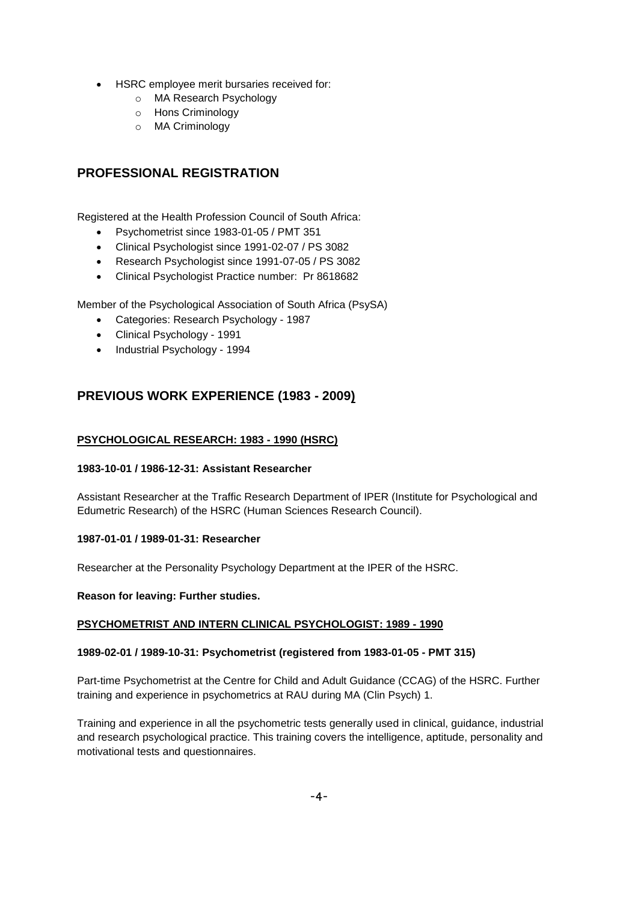- HSRC employee merit bursaries received for:
	- o MA Research Psychology
	- o Hons Criminology
	- o MA Criminology

# **PROFESSIONAL REGISTRATION**

Registered at the Health Profession Council of South Africa:

- Psychometrist since 1983-01-05 / PMT 351
- Clinical Psychologist since 1991-02-07 / PS 3082
- Research Psychologist since 1991-07-05 / PS 3082
- Clinical Psychologist Practice number: Pr 8618682

Member of the Psychological Association of South Africa (PsySA)

- Categories: Research Psychology 1987
- Clinical Psychology 1991
- Industrial Psychology 1994

# **PREVIOUS WORK EXPERIENCE (1983 - 2009)**

### **PSYCHOLOGICAL RESEARCH: 1983 - 1990 (HSRC)**

### **1983-10-01 / 1986-12-31: Assistant Researcher**

Assistant Researcher at the Traffic Research Department of IPER (Institute for Psychological and Edumetric Research) of the HSRC (Human Sciences Research Council).

### **1987-01-01 / 1989-01-31: Researcher**

Researcher at the Personality Psychology Department at the IPER of the HSRC.

**Reason for leaving: Further studies.**

### **PSYCHOMETRIST AND INTERN CLINICAL PSYCHOLOGIST: 1989 - 1990**

### **1989-02-01 / 1989-10-31: Psychometrist (registered from 1983-01-05 - PMT 315)**

Part-time Psychometrist at the Centre for Child and Adult Guidance (CCAG) of the HSRC. Further training and experience in psychometrics at RAU during MA (Clin Psych) 1.

Training and experience in all the psychometric tests generally used in clinical, guidance, industrial and research psychological practice. This training covers the intelligence, aptitude, personality and motivational tests and questionnaires.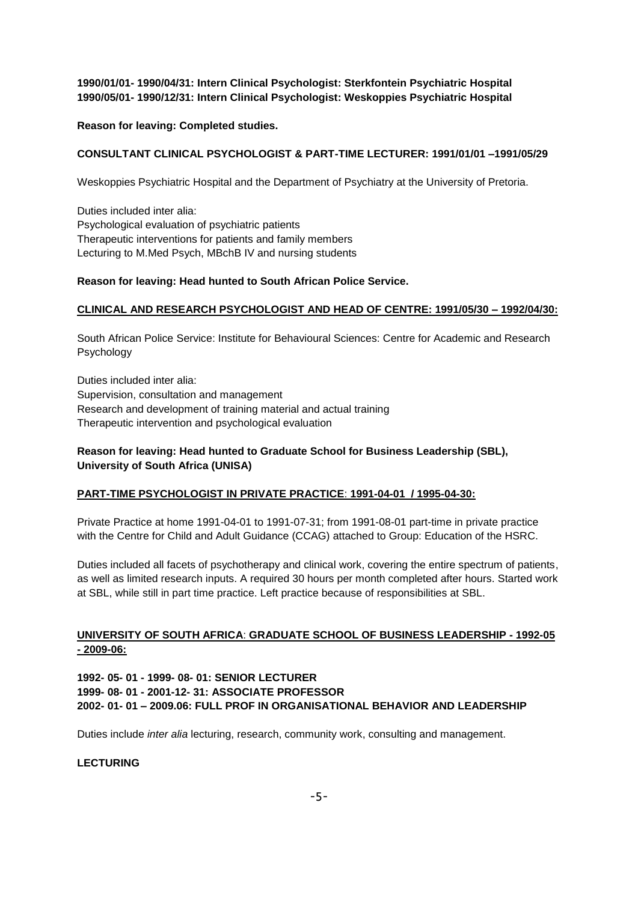### **1990/01/01- 1990/04/31: Intern Clinical Psychologist: Sterkfontein Psychiatric Hospital 1990/05/01- 1990/12/31: Intern Clinical Psychologist: Weskoppies Psychiatric Hospital**

### **Reason for leaving: Completed studies.**

### **CONSULTANT CLINICAL PSYCHOLOGIST & PART-TIME LECTURER: 1991/01/01 –1991/05/29**

Weskoppies Psychiatric Hospital and the Department of Psychiatry at the University of Pretoria.

Duties included inter alia: Psychological evaluation of psychiatric patients Therapeutic interventions for patients and family members Lecturing to M.Med Psych, MBchB IV and nursing students

### **Reason for leaving: Head hunted to South African Police Service.**

### **CLINICAL AND RESEARCH PSYCHOLOGIST AND HEAD OF CENTRE: 1991/05/30 – 1992/04/30:**

South African Police Service: Institute for Behavioural Sciences: Centre for Academic and Research Psychology

Duties included inter alia: Supervision, consultation and management Research and development of training material and actual training Therapeutic intervention and psychological evaluation

### **Reason for leaving: Head hunted to Graduate School for Business Leadership (SBL), University of South Africa (UNISA)**

### **PART-TIME PSYCHOLOGIST IN PRIVATE PRACTICE**: **1991-04-01 / 1995-04-30:**

Private Practice at home 1991-04-01 to 1991-07-31; from 1991-08-01 part-time in private practice with the Centre for Child and Adult Guidance (CCAG) attached to Group: Education of the HSRC.

Duties included all facets of psychotherapy and clinical work, covering the entire spectrum of patients, as well as limited research inputs. A required 30 hours per month completed after hours. Started work at SBL, while still in part time practice. Left practice because of responsibilities at SBL.

### **UNIVERSITY OF SOUTH AFRICA**: **GRADUATE SCHOOL OF BUSINESS LEADERSHIP - 1992-05 - 2009-06:**

**1992- 05- 01 - 1999- 08- 01: SENIOR LECTURER 1999- 08- 01 - 2001-12- 31: ASSOCIATE PROFESSOR 2002- 01- 01 – 2009.06: FULL PROF IN ORGANISATIONAL BEHAVIOR AND LEADERSHIP**

Duties include *inter alia* lecturing, research, community work, consulting and management.

### **LECTURING**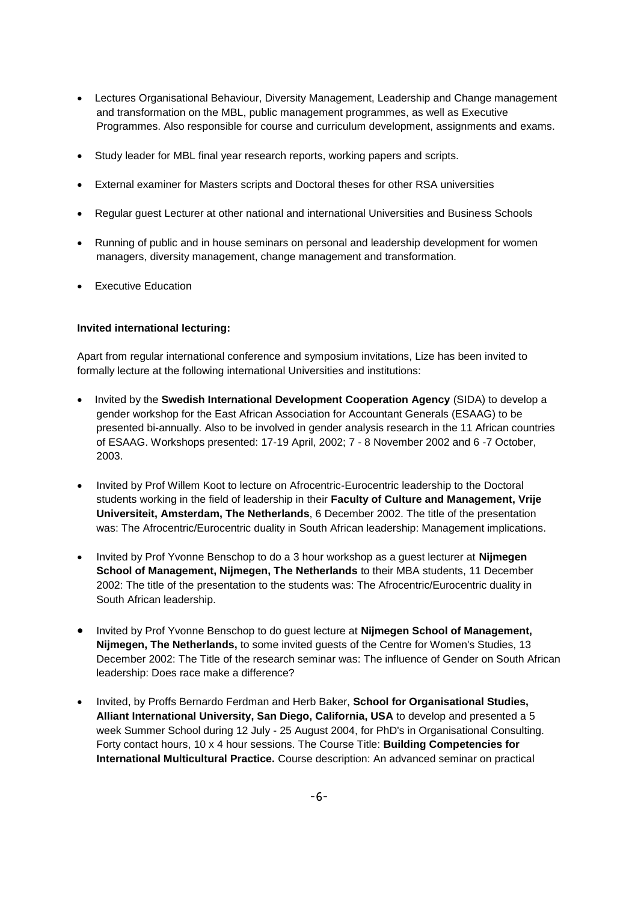- Lectures Organisational Behaviour, Diversity Management, Leadership and Change management and transformation on the MBL, public management programmes, as well as Executive Programmes. Also responsible for course and curriculum development, assignments and exams.
- Study leader for MBL final year research reports, working papers and scripts.
- External examiner for Masters scripts and Doctoral theses for other RSA universities
- Regular guest Lecturer at other national and international Universities and Business Schools
- Running of public and in house seminars on personal and leadership development for women managers, diversity management, change management and transformation.
- Executive Education

### **Invited international lecturing:**

Apart from regular international conference and symposium invitations, Lize has been invited to formally lecture at the following international Universities and institutions:

- Invited by the **Swedish International Development Cooperation Agency** (SIDA) to develop a gender workshop for the East African Association for Accountant Generals (ESAAG) to be presented bi-annually. Also to be involved in gender analysis research in the 11 African countries of ESAAG. Workshops presented: 17-19 April, 2002; 7 - 8 November 2002 and 6 -7 October, 2003.
- Invited by Prof Willem Koot to lecture on Afrocentric-Eurocentric leadership to the Doctoral students working in the field of leadership in their **Faculty of Culture and Management, Vrije Universiteit, Amsterdam, The Netherlands**, 6 December 2002. The title of the presentation was: The Afrocentric/Eurocentric duality in South African leadership: Management implications.
- Invited by Prof Yvonne Benschop to do a 3 hour workshop as a guest lecturer at **Nijmegen School of Management, Nijmegen, The Netherlands** to their MBA students, 11 December 2002: The title of the presentation to the students was: The Afrocentric/Eurocentric duality in South African leadership.
- Invited by Prof Yvonne Benschop to do guest lecture at **Nijmegen School of Management, Nijmegen, The Netherlands,** to some invited guests of the Centre for Women's Studies, 13 December 2002: The Title of the research seminar was: The influence of Gender on South African leadership: Does race make a difference?
- Invited, by Proffs Bernardo Ferdman and Herb Baker, **School for Organisational Studies, Alliant International University, San Diego, California, USA** to develop and presented a 5 week Summer School during 12 July - 25 August 2004, for PhD's in Organisational Consulting. Forty contact hours, 10 x 4 hour sessions. The Course Title: **Building Competencies for International Multicultural Practice.** Course description: An advanced seminar on practical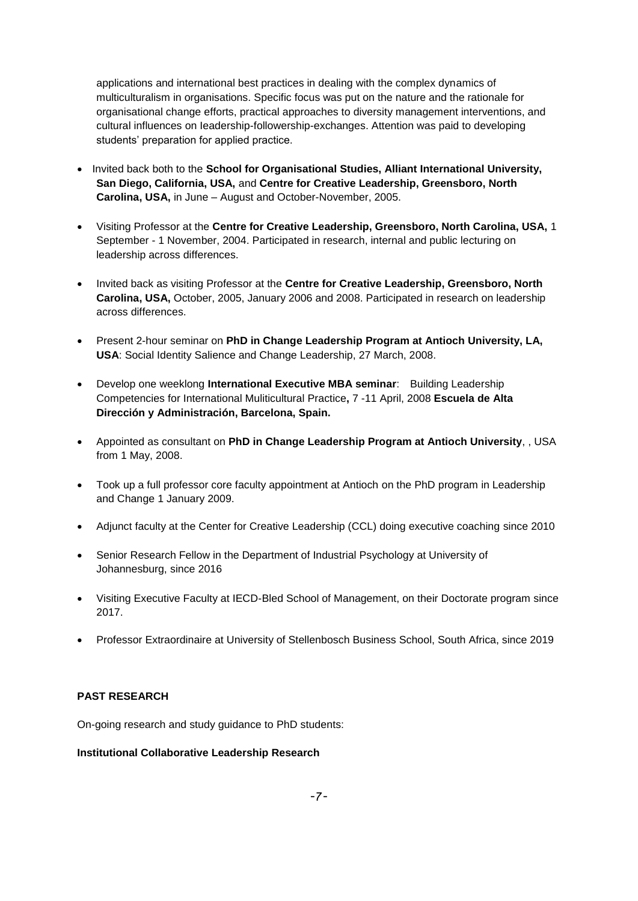applications and international best practices in dealing with the complex dynamics of multiculturalism in organisations. Specific focus was put on the nature and the rationale for organisational change efforts, practical approaches to diversity management interventions, and cultural influences on Ieadership-followership-exchanges. Attention was paid to developing students' preparation for applied practice.

- Invited back both to the **School for Organisational Studies, Alliant International University, San Diego, California, USA,** and **Centre for Creative Leadership, Greensboro, North Carolina, USA,** in June – August and October-November, 2005.
- Visiting Professor at the **Centre for Creative Leadership, Greensboro, North Carolina, USA,** 1 September - 1 November, 2004. Participated in research, internal and public lecturing on leadership across differences.
- Invited back as visiting Professor at the **Centre for Creative Leadership, Greensboro, North Carolina, USA,** October, 2005, January 2006 and 2008. Participated in research on leadership across differences.
- Present 2-hour seminar on **PhD in Change Leadership Program at Antioch University, LA, USA**: Social Identity Salience and Change Leadership, 27 March, 2008.
- Develop one weeklong **International Executive MBA seminar**: Building Leadership Competencies for International Muliticultural Practice**,** 7 -11 April, 2008 **Escuela de Alta Dirección y Administración, Barcelona, Spain.**
- Appointed as consultant on **PhD in Change Leadership Program at Antioch University**, , USA from 1 May, 2008.
- Took up a full professor core faculty appointment at Antioch on the PhD program in Leadership and Change 1 January 2009.
- Adjunct faculty at the Center for Creative Leadership (CCL) doing executive coaching since 2010
- Senior Research Fellow in the Department of Industrial Psychology at University of Johannesburg, since 2016
- Visiting Executive Faculty at IECD-Bled School of Management, on their Doctorate program since 2017.
- Professor Extraordinaire at University of Stellenbosch Business School, South Africa, since 2019

### **PAST RESEARCH**

On-going research and study guidance to PhD students:

### **Institutional Collaborative Leadership Research**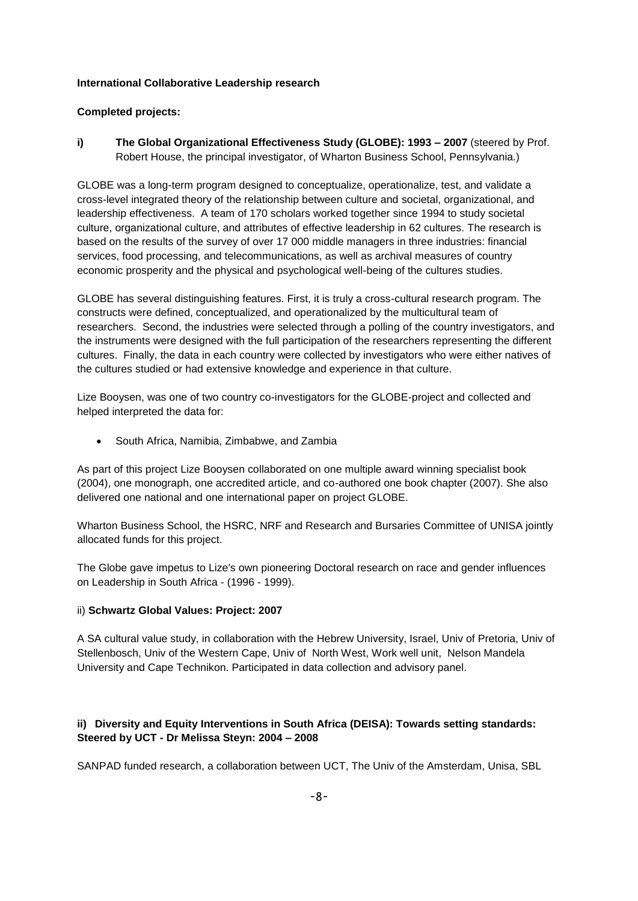### **International Collaborative Leadership research**

### **Completed projects:**

**i) The Global Organizational Effectiveness Study (GLOBE): 1993 – 2007** (steered by Prof. Robert House, the principal investigator, of Wharton Business School, Pennsylvania.)

GLOBE was a long-term program designed to conceptualize, operationalize, test, and validate a cross-level integrated theory of the relationship between culture and societal, organizational, and leadership effectiveness. A team of 170 scholars worked together since 1994 to study societal culture, organizational culture, and attributes of effective leadership in 62 cultures. The research is based on the results of the survey of over 17 000 middle managers in three industries: financial services, food processing, and telecommunications, as well as archival measures of country economic prosperity and the physical and psychological well-being of the cultures studies.

GLOBE has several distinguishing features. First, it is truly a cross-cultural research program. The constructs were defined, conceptualized, and operationalized by the multicultural team of researchers. Second, the industries were selected through a polling of the country investigators, and the instruments were designed with the full participation of the researchers representing the different cultures. Finally, the data in each country were collected by investigators who were either natives of the cultures studied or had extensive knowledge and experience in that culture.

Lize Booysen, was one of two country co-investigators for the GLOBE-project and collected and helped interpreted the data for:

• South Africa, Namibia, Zimbabwe, and Zambia

As part of this project Lize Booysen collaborated on one multiple award winning specialist book (2004), one monograph, one accredited article, and co-authored one book chapter (2007). She also delivered one national and one international paper on project GLOBE.

Wharton Business School, the HSRC, NRF and Research and Bursaries Committee of UNISA jointly allocated funds for this project.

The Globe gave impetus to Lize's own pioneering Doctoral research on race and gender influences on Leadership in South Africa - (1996 - 1999).

### ii) **Schwartz Global Values: Project: 2007**

A SA cultural value study, in collaboration with the Hebrew University, Israel, Univ of Pretoria, Univ of Stellenbosch, Univ of the Western Cape, Univ of North West, Work well unit, Nelson Mandela University and Cape Technikon. Participated in data collection and advisory panel.

# **ii) Diversity and Equity Interventions in South Africa (DEISA): Towards setting standards: Steered by UCT - Dr Melissa Steyn: 2004 – 2008**

SANPAD funded research, a collaboration between UCT, The Univ of the Amsterdam, Unisa, SBL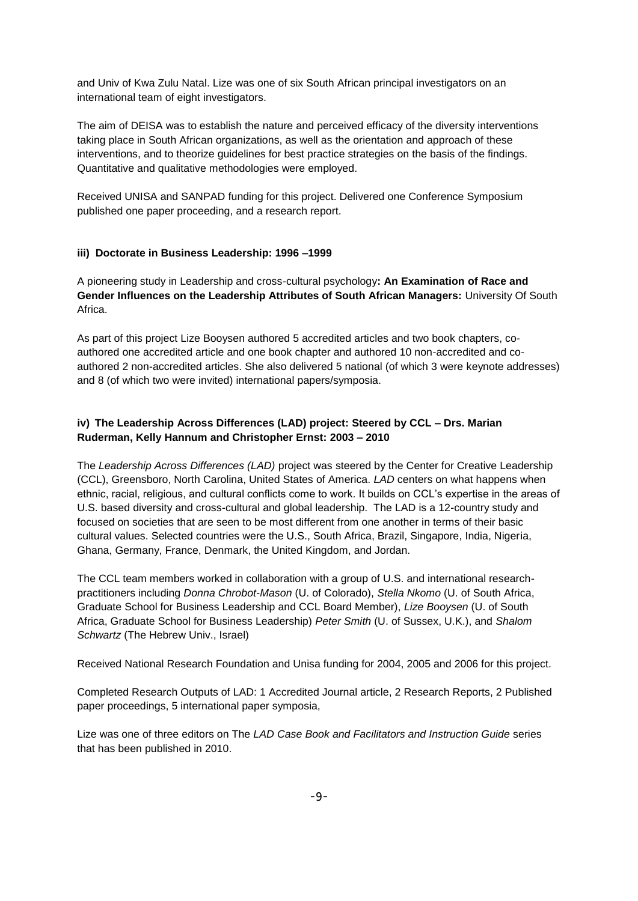and Univ of Kwa Zulu Natal. Lize was one of six South African principal investigators on an international team of eight investigators.

The aim of DEISA was to establish the nature and perceived efficacy of the diversity interventions taking place in South African organizations, as well as the orientation and approach of these interventions, and to theorize guidelines for best practice strategies on the basis of the findings. Quantitative and qualitative methodologies were employed.

Received UNISA and SANPAD funding for this project. Delivered one Conference Symposium published one paper proceeding, and a research report.

### **iii) Doctorate in Business Leadership: 1996 –1999**

A pioneering study in Leadership and cross-cultural psychology**: An Examination of Race and Gender Influences on the Leadership Attributes of South African Managers:** University Of South Africa.

As part of this project Lize Booysen authored 5 accredited articles and two book chapters, coauthored one accredited article and one book chapter and authored 10 non-accredited and coauthored 2 non-accredited articles. She also delivered 5 national (of which 3 were keynote addresses) and 8 (of which two were invited) international papers/symposia.

# **iv) The Leadership Across Differences (LAD) project: Steered by CCL – Drs. Marian Ruderman, Kelly Hannum and Christopher Ernst: 2003 – 2010**

The *Leadership Across Differences (LAD)* project was steered by the Center for Creative Leadership (CCL), Greensboro, North Carolina, United States of America. *LAD* centers on what happens when ethnic, racial, religious, and cultural conflicts come to work. It builds on CCL's expertise in the areas of U.S. based diversity and cross-cultural and global leadership. The LAD is a 12-country study and focused on societies that are seen to be most different from one another in terms of their basic cultural values. Selected countries were the U.S., South Africa, Brazil, Singapore, India, Nigeria, Ghana, Germany, France, Denmark, the United Kingdom, and Jordan.

The CCL team members worked in collaboration with a group of U.S. and international researchpractitioners including *Donna Chrobot-Mason* (U. of Colorado), *Stella Nkomo* (U. of South Africa, Graduate School for Business Leadership and CCL Board Member), *Lize Booysen* (U. of South Africa, Graduate School for Business Leadership) *Peter Smith* (U. of Sussex, U.K.), and *Shalom Schwartz* (The Hebrew Univ., Israel)

Received National Research Foundation and Unisa funding for 2004, 2005 and 2006 for this project.

Completed Research Outputs of LAD: 1 Accredited Journal article, 2 Research Reports, 2 Published paper proceedings, 5 international paper symposia,

Lize was one of three editors on The *LAD Case Book and Facilitators and Instruction Guide* series that has been published in 2010.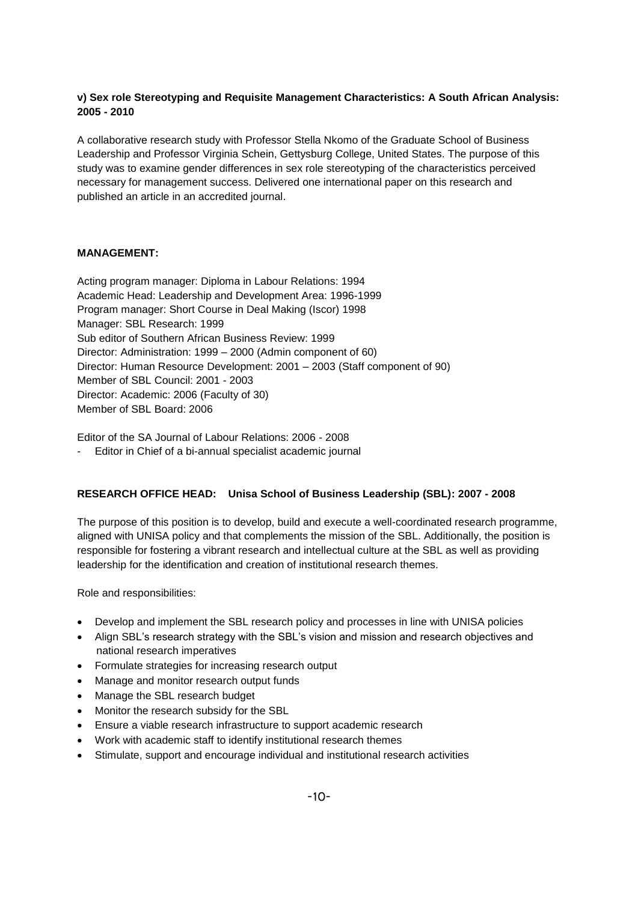# **v) Sex role Stereotyping and Requisite Management Characteristics: A South African Analysis: 2005 - 2010**

A collaborative research study with Professor Stella Nkomo of the Graduate School of Business Leadership and Professor Virginia Schein, Gettysburg College, United States. The purpose of this study was to examine gender differences in sex role stereotyping of the characteristics perceived necessary for management success. Delivered one international paper on this research and published an article in an accredited journal.

# **MANAGEMENT:**

Acting program manager: Diploma in Labour Relations: 1994 Academic Head: Leadership and Development Area: 1996-1999 Program manager: Short Course in Deal Making (Iscor) 1998 Manager: SBL Research: 1999 Sub editor of Southern African Business Review: 1999 Director: Administration: 1999 – 2000 (Admin component of 60) Director: Human Resource Development: 2001 – 2003 (Staff component of 90) Member of SBL Council: 2001 - 2003 Director: Academic: 2006 (Faculty of 30) Member of SBL Board: 2006

Editor of the SA Journal of Labour Relations: 2006 - 2008

- Editor in Chief of a bi-annual specialist academic journal

# **RESEARCH OFFICE HEAD: Unisa School of Business Leadership (SBL): 2007 - 2008**

The purpose of this position is to develop, build and execute a well-coordinated research programme, aligned with UNISA policy and that complements the mission of the SBL. Additionally, the position is responsible for fostering a vibrant research and intellectual culture at the SBL as well as providing leadership for the identification and creation of institutional research themes.

Role and responsibilities:

- Develop and implement the SBL research policy and processes in line with UNISA policies
- Align SBL's research strategy with the SBL's vision and mission and research objectives and national research imperatives
- Formulate strategies for increasing research output
- Manage and monitor research output funds
- Manage the SBL research budget
- Monitor the research subsidy for the SBL
- Ensure a viable research infrastructure to support academic research
- Work with academic staff to identify institutional research themes
- Stimulate, support and encourage individual and institutional research activities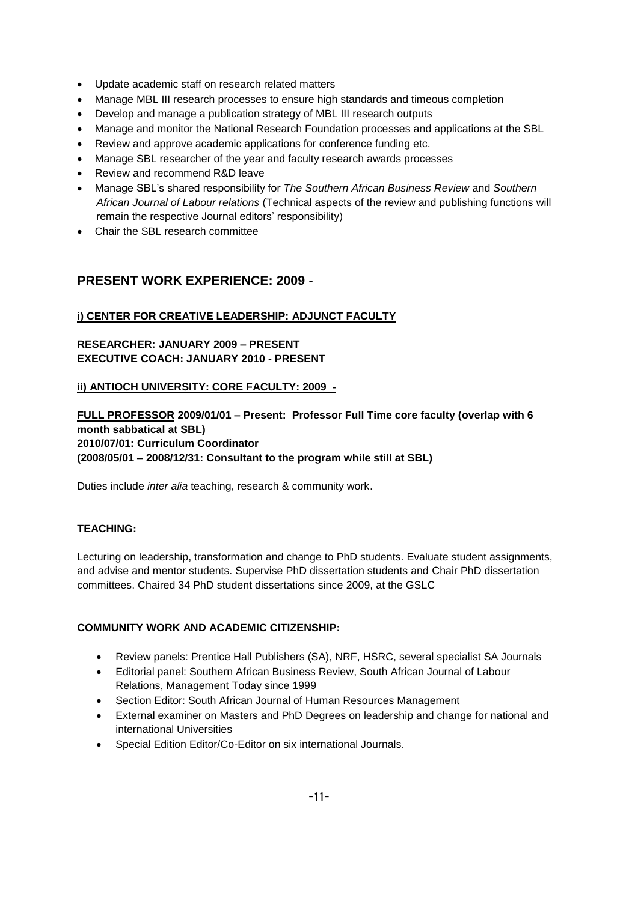- Update academic staff on research related matters
- Manage MBL III research processes to ensure high standards and timeous completion
- Develop and manage a publication strategy of MBL III research outputs
- Manage and monitor the National Research Foundation processes and applications at the SBL
- Review and approve academic applications for conference funding etc.
- Manage SBL researcher of the year and faculty research awards processes
- Review and recommend R&D leave
- Manage SBL's shared responsibility for *The Southern African Business Review* and *Southern African Journal of Labour relations* (Technical aspects of the review and publishing functions will remain the respective Journal editors' responsibility)
- Chair the SBL research committee

# **PRESENT WORK EXPERIENCE: 2009 -**

# **i) CENTER FOR CREATIVE LEADERSHIP: ADJUNCT FACULTY**

# **RESEARCHER: JANUARY 2009 – PRESENT EXECUTIVE COACH: JANUARY 2010 - PRESENT**

### **ii) ANTIOCH UNIVERSITY: CORE FACULTY: 2009 -**

**FULL PROFESSOR 2009/01/01 – Present: Professor Full Time core faculty (overlap with 6 month sabbatical at SBL) 2010/07/01: Curriculum Coordinator (2008/05/01 – 2008/12/31: Consultant to the program while still at SBL)**

Duties include *inter alia* teaching, research & community work.

# **TEACHING:**

Lecturing on leadership, transformation and change to PhD students. Evaluate student assignments, and advise and mentor students. Supervise PhD dissertation students and Chair PhD dissertation committees. Chaired 34 PhD student dissertations since 2009, at the GSLC

### **COMMUNITY WORK AND ACADEMIC CITIZENSHIP:**

- Review panels: Prentice Hall Publishers (SA), NRF, HSRC, several specialist SA Journals
- Editorial panel: Southern African Business Review, South African Journal of Labour Relations, Management Today since 1999
- Section Editor: South African Journal of Human Resources Management
- External examiner on Masters and PhD Degrees on leadership and change for national and international Universities
- Special Edition Editor/Co-Editor on six international Journals.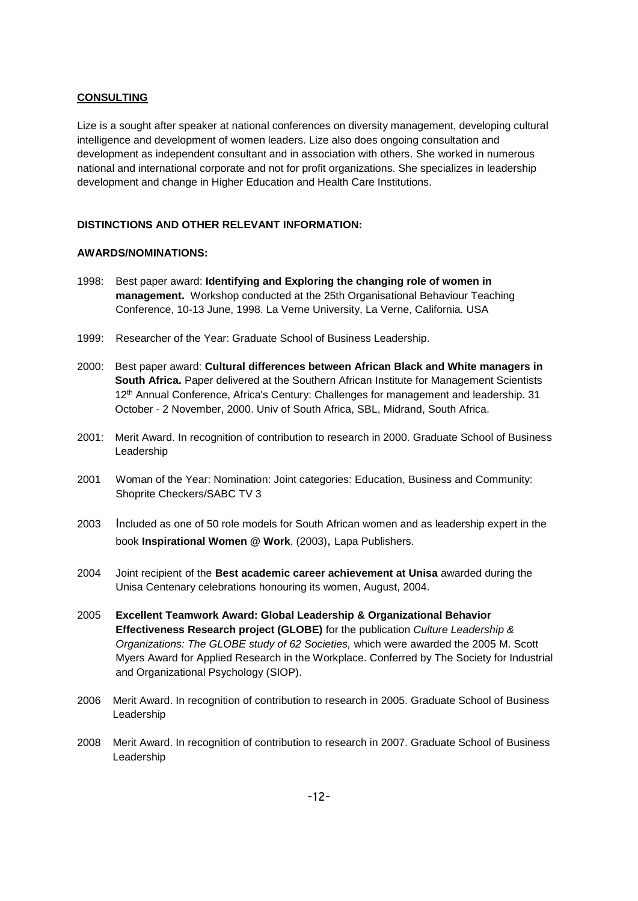### **CONSULTING**

Lize is a sought after speaker at national conferences on diversity management, developing cultural intelligence and development of women leaders. Lize also does ongoing consultation and development as independent consultant and in association with others. She worked in numerous national and international corporate and not for profit organizations. She specializes in leadership development and change in Higher Education and Health Care Institutions.

### **DISTINCTIONS AND OTHER RELEVANT INFORMATION:**

### **AWARDS/NOMINATIONS:**

- 1998: Best paper award: **Identifying and Exploring the changing role of women in management.** Workshop conducted at the 25th Organisational Behaviour Teaching Conference, 10-13 June, 1998. La Verne University, La Verne, California. USA
- 1999: Researcher of the Year: Graduate School of Business Leadership.
- 2000: Best paper award: **Cultural differences between African Black and White managers in South Africa.** Paper delivered at the Southern African Institute for Management Scientists 12th Annual Conference, Africa's Century: Challenges for management and leadership. 31 October - 2 November, 2000. Univ of South Africa, SBL, Midrand, South Africa.
- 2001: Merit Award. In recognition of contribution to research in 2000. Graduate School of Business Leadership
- 2001 Woman of the Year: Nomination: Joint categories: Education, Business and Community: Shoprite Checkers/SABC TV 3
- 2003 Included as one of 50 role models for South African women and as leadership expert in the book **Inspirational Women @ Work**, (2003), Lapa Publishers.
- 2004 Joint recipient of the **Best academic career achievement at Unisa** awarded during the Unisa Centenary celebrations honouring its women, August, 2004.
- 2005 **Excellent Teamwork Award: Global Leadership & Organizational Behavior Effectiveness Research project (GLOBE)** for the publication *Culture Leadership & Organizations: The GLOBE study of 62 Societies,* which were awarded the 2005 M. Scott Myers Award for Applied Research in the Workplace. Conferred by The Society for Industrial and Organizational Psychology (SIOP).
- 2006 Merit Award. In recognition of contribution to research in 2005. Graduate School of Business Leadership
- 2008 Merit Award. In recognition of contribution to research in 2007. Graduate School of Business Leadership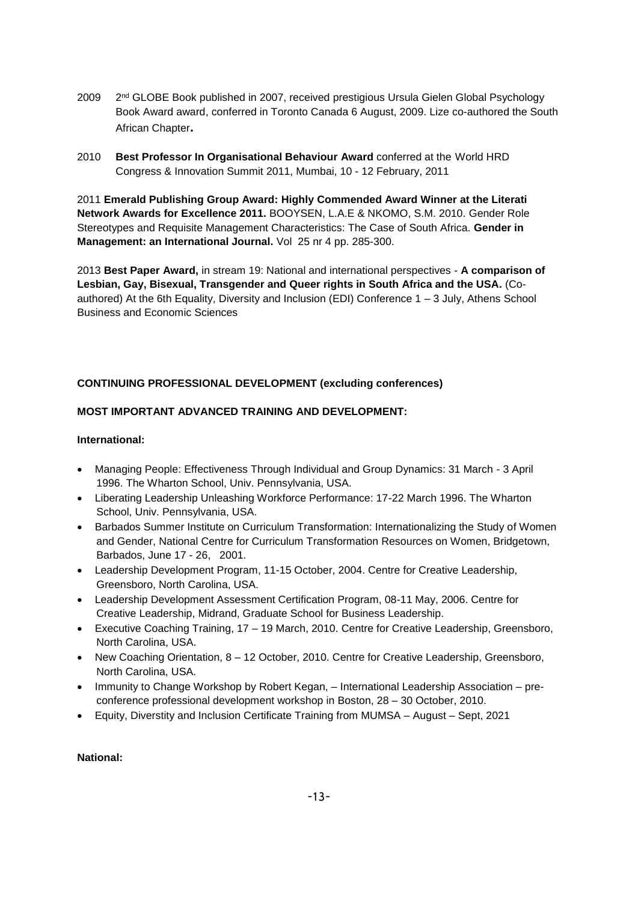- 2009  $2<sup>nd</sup> GLOBE$  Book published in 2007, received prestigious Ursula Gielen Global Psychology Book Award award, conferred in Toronto Canada 6 August, 2009. Lize co-authored the South African Chapter**.**
- 2010 **Best Professor In Organisational Behaviour Award** conferred at the World HRD Congress & Innovation Summit 2011, Mumbai, 10 - 12 February, 2011

2011 **Emerald Publishing Group Award: Highly Commended Award Winner at the Literati Network Awards for Excellence 2011.** BOOYSEN, L.A.E & NKOMO, S.M. 2010. Gender Role Stereotypes and Requisite Management Characteristics: The Case of South Africa. **Gender in Management: an International Journal.** Vol 25 nr 4 pp. 285-300.

2013 **Best Paper Award,** in stream 19: National and international perspectives - **A comparison of Lesbian, Gay, Bisexual, Transgender and Queer rights in South Africa and the USA.** (Coauthored) At the 6th Equality, Diversity and Inclusion (EDI) Conference 1 – 3 July, Athens School Business and Economic Sciences

### **CONTINUING PROFESSIONAL DEVELOPMENT (excluding conferences)**

# **MOST IMPORTANT ADVANCED TRAINING AND DEVELOPMENT:**

### **International:**

- Managing People: Effectiveness Through Individual and Group Dynamics: 31 March 3 April 1996. The Wharton School, Univ. Pennsylvania, USA.
- Liberating Leadership Unleashing Workforce Performance: 17-22 March 1996. The Wharton School, Univ. Pennsylvania, USA.
- Barbados Summer Institute on Curriculum Transformation: Internationalizing the Study of Women and Gender, National Centre for Curriculum Transformation Resources on Women, Bridgetown, Barbados, June 17 - 26, 2001.
- Leadership Development Program, 11-15 October, 2004. Centre for Creative Leadership, Greensboro, North Carolina, USA.
- Leadership Development Assessment Certification Program, 08-11 May, 2006. Centre for Creative Leadership, Midrand, Graduate School for Business Leadership.
- Executive Coaching Training, 17 19 March, 2010. Centre for Creative Leadership, Greensboro, North Carolina, USA.
- New Coaching Orientation, 8 12 October, 2010. Centre for Creative Leadership, Greensboro, North Carolina, USA.
- Immunity to Change Workshop by Robert Kegan, International Leadership Association preconference professional development workshop in Boston, 28 – 30 October, 2010.
- Equity, Diverstity and Inclusion Certificate Training from MUMSA August Sept, 2021

### **National:**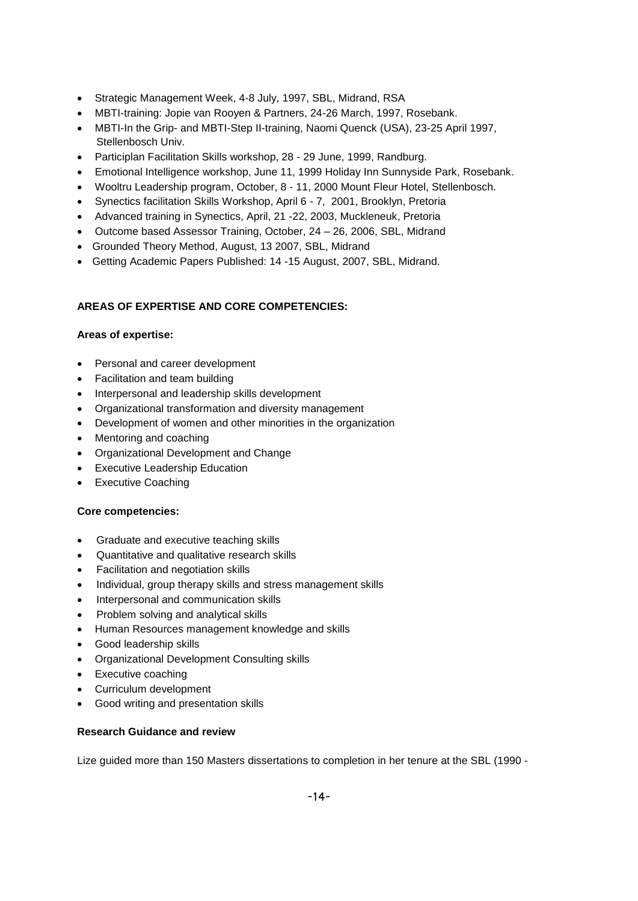- Strategic Management Week, 4-8 July, 1997, SBL, Midrand, RSA
- MBTI-training: Jopie van Rooyen & Partners, 24-26 March, 1997, Rosebank.
- MBTI-In the Grip- and MBTI-Step II-training, Naomi Quenck (USA), 23-25 April 1997, Stellenbosch Univ.
- Participlan Facilitation Skills workshop, 28 29 June, 1999, Randburg.
- Emotional Intelligence workshop, June 11, 1999 Holiday Inn Sunnyside Park, Rosebank.
- Wooltru Leadership program, October, 8 11, 2000 Mount Fleur Hotel, Stellenbosch.
- Synectics facilitation Skills Workshop, April 6 7, 2001, Brooklyn, Pretoria
- Advanced training in Synectics, April, 21 -22, 2003, Muckleneuk, Pretoria
- Outcome based Assessor Training, October, 24 26, 2006, SBL, Midrand
- Grounded Theory Method, August, 13 2007, SBL, Midrand
- Getting Academic Papers Published: 14 -15 August, 2007, SBL, Midrand.

# **AREAS OF EXPERTISE AND CORE COMPETENCIES:**

### **Areas of expertise:**

- Personal and career development
- Facilitation and team building
- Interpersonal and leadership skills development
- Organizational transformation and diversity management
- Development of women and other minorities in the organization
- Mentoring and coaching
- Organizational Development and Change
- Executive Leadership Education
- Executive Coaching

### **Core competencies:**

- Graduate and executive teaching skills
- Quantitative and qualitative research skills
- Facilitation and negotiation skills
- Individual, group therapy skills and stress management skills
- Interpersonal and communication skills
- Problem solving and analytical skills
- Human Resources management knowledge and skills
- Good leadership skills
- Organizational Development Consulting skills
- Executive coaching
- Curriculum development
- Good writing and presentation skills

### **Research Guidance and review**

Lize guided more than 150 Masters dissertations to completion in her tenure at the SBL (1990 -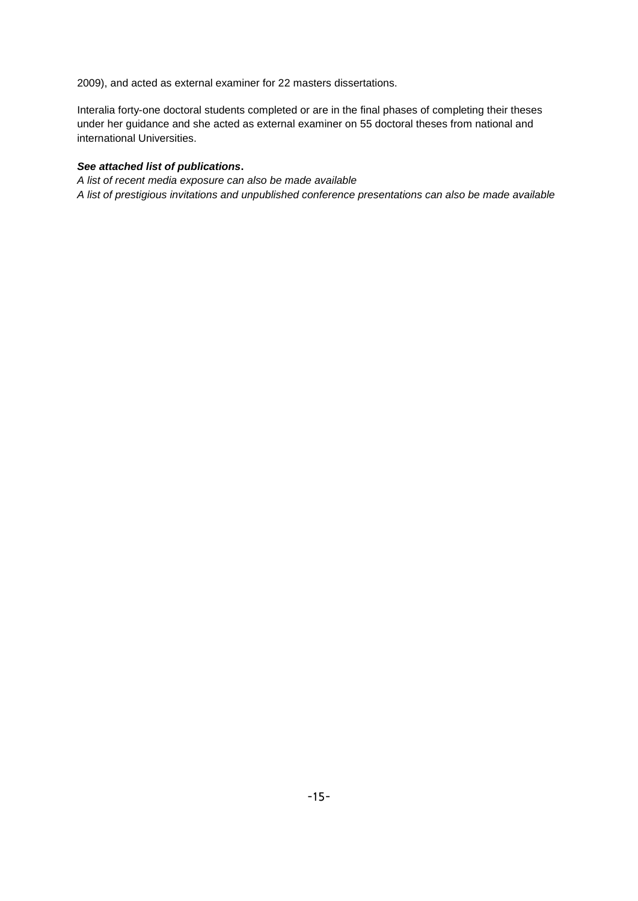2009), and acted as external examiner for 22 masters dissertations.

Interalia forty-one doctoral students completed or are in the final phases of completing their theses under her guidance and she acted as external examiner on 55 doctoral theses from national and international Universities.

### *See attached list of publications***.**

*A list of recent media exposure can also be made available A list of prestigious invitations and unpublished conference presentations can also be made available*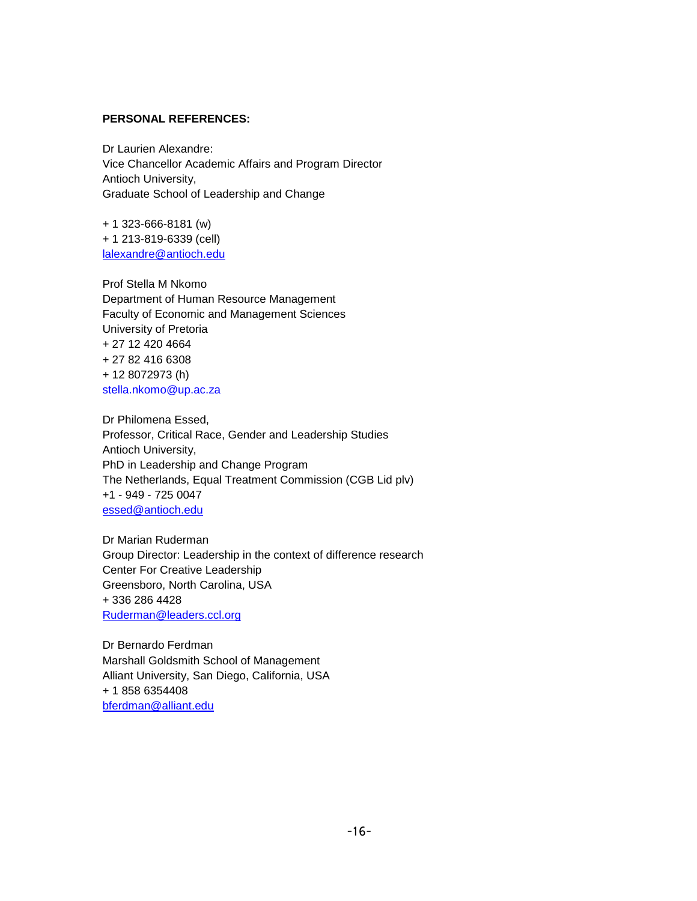### **PERSONAL REFERENCES:**

Dr Laurien Alexandre: Vice Chancellor Academic Affairs and Program Director Antioch University, Graduate School of Leadership and Change

+ 1 323-666-8181 (w) + 1 213-819-6339 (cell) [lalexandre@antioch.edu](mailto:lalexandre@antioch.edu)

Prof Stella M Nkomo Department of Human Resource Management Faculty of Economic and Management Sciences University of Pretoria + 27 12 420 4664 + 27 82 416 6308 + 12 8072973 (h) [stella.nkomo@up.ac.za](mailto:stella.nkomo@up.ac.za)

Dr Philomena Essed, Professor, Critical Race, Gender and Leadership Studies Antioch University, PhD in Leadership and Change Program The Netherlands, Equal Treatment Commission (CGB Lid plv) +1 - 949 - 725 0047 [essed@antioch.edu](mailto:essed@antioch.edu)

Dr Marian Ruderman Group Director: Leadership in the context of difference research Center For Creative Leadership Greensboro, North Carolina, USA + 336 286 4428 [Ruderman@leaders.ccl.org](mailto:Ruderman@leaders.ccl.org)

Dr Bernardo Ferdman Marshall Goldsmith School of Management Alliant University, San Diego, California, USA + 1 858 6354408 [bferdman@alliant.edu](mailto:bferdman@alliant.edu)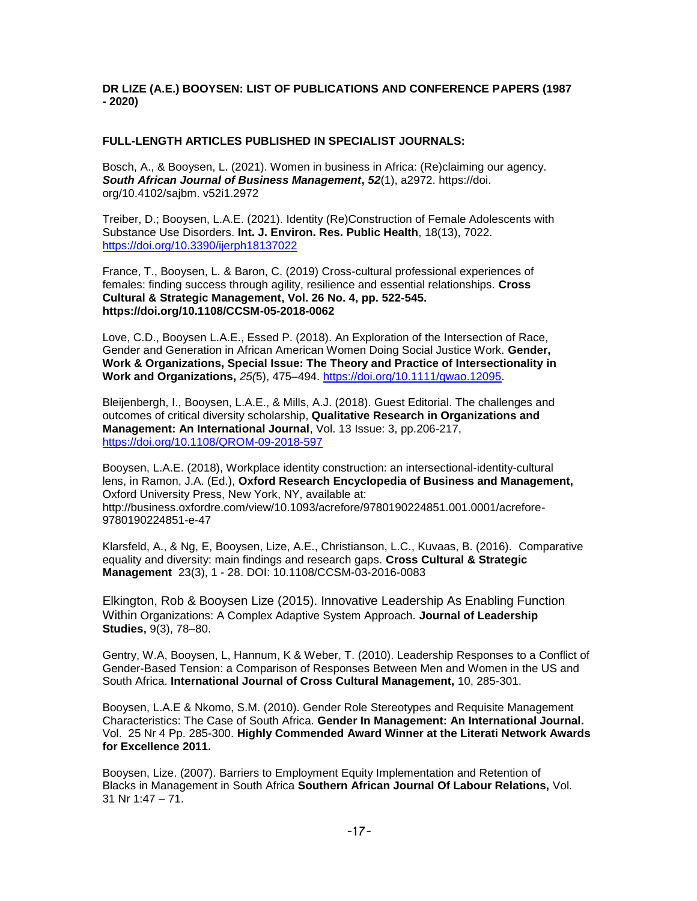### **DR LIZE (A.E.) BOOYSEN: LIST OF PUBLICATIONS AND CONFERENCE PAPERS (1987 - 2020)**

#### **FULL-LENGTH ARTICLES PUBLISHED IN SPECIALIST JOURNALS:**

Bosch, A., & Booysen, L. (2021). Women in business in Africa: (Re)claiming our agency. *South African Journal of Business Management***,** *52*(1), a2972. https://doi. org/10.4102/sajbm. v52i1.2972

Treiber, D.; Booysen, L.A.E. (2021). Identity (Re)Construction of Female Adolescents with Substance Use Disorders. **Int. J. Environ. Res. Public Health**, 18(13), 7022. <https://doi.org/10.3390/ijerph18137022>

France, T., Booysen, L. & Baron, C. (2019) Cross-cultural professional experiences of females: finding success through agility, resilience and essential relationships. **Cross Cultural & Strategic Management, Vol. 26 No. 4, pp. 522-545. https://doi.org/10.1108/CCSM-05-2018-0062**

Love, C.D., Booysen L.A.E., Essed P. (2018). An Exploration of the Intersection of Race, Gender and Generation in African American Women Doing Social Justice Work. **Gender, Work & Organizations, Special Issue: The Theory and Practice of Intersectionality in Work and Organizations,** *25(*5), 475–494. [https://doi.org/10.1111/gwao.12095.](https://doi.org/10.1111/gwao.12095)

Bleijenbergh, I., Booysen, L.A.E., & Mills, A.J. (2018). Guest Editorial. The challenges and outcomes of critical diversity scholarship, **Qualitative Research in Organizations and Management: An International Journal**, Vol. 13 Issue: 3, pp.206-217, <https://doi.org/10.1108/QROM-09-2018-597>

Booysen, L.A.E. (2018), Workplace identity construction: an intersectional-identity-cultural lens, in Ramon, J.A. (Ed.), **Oxford Research Encyclopedia of Business and Management,** Oxford University Press, New York, NY, available at: http://business.oxfordre.com/view/10.1093/acrefore/9780190224851.001.0001/acrefore-9780190224851-e-47

Klarsfeld, A., & Ng, E, Booysen, Lize, A.E., Christianson, L.C., Kuvaas, B. (2016). Comparative equality and diversity: main findings and research gaps. **Cross Cultural & Strategic Management** 23(3), 1 - 28. DOI: 10.1108/CCSM-03-2016-0083

Elkington, Rob & Booysen Lize (2015). Innovative Leadership As Enabling Function Within Organizations: A Complex Adaptive System Approach. **Journal of Leadership Studies,** 9(3), 78–80.

Gentry, W.A, Booysen, L, Hannum, K & Weber, T. (2010). Leadership Responses to a Conflict of Gender-Based Tension: a Comparison of Responses Between Men and Women in the US and South Africa. **International Journal of Cross Cultural Management,** 10, 285-301.

Booysen, L.A.E & Nkomo, S.M. (2010). Gender Role Stereotypes and Requisite Management Characteristics: The Case of South Africa. **Gender In Management: An International Journal.** Vol. 25 Nr 4 Pp. 285-300. **Highly Commended Award Winner at the Literati Network Awards for Excellence 2011.** 

Booysen, Lize. (2007). Barriers to Employment Equity Implementation and Retention of Blacks in Management in South Africa **Southern African Journal Of Labour Relations,** Vol. 31 Nr 1:47 – 71.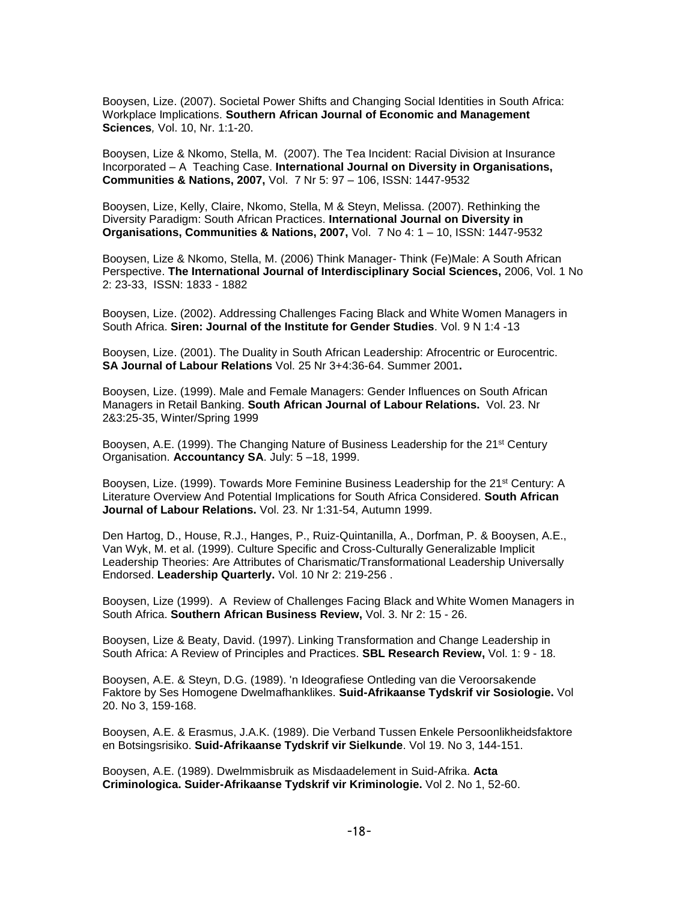Booysen, Lize. (2007). Societal Power Shifts and Changing Social Identities in South Africa: Workplace Implications. **Southern African Journal of Economic and Management Sciences***,* Vol. 10, Nr. 1:1-20.

Booysen, Lize & Nkomo, Stella, M. (2007). The Tea Incident: Racial Division at Insurance Incorporated – A Teaching Case. **International Journal on Diversity in Organisations, Communities & Nations, 2007,** Vol. 7 Nr 5: 97 – 106, ISSN: 1447-9532

Booysen, Lize, Kelly, Claire, Nkomo, Stella, M & Steyn, Melissa. (2007). Rethinking the Diversity Paradigm: South African Practices. **International Journal on Diversity in Organisations, Communities & Nations, 2007,** Vol. 7 No 4: 1 – 10, ISSN: 1447-9532

Booysen, Lize & Nkomo, Stella, M. (2006) Think Manager- Think (Fe)Male: A South African Perspective. **The International Journal of Interdisciplinary Social Sciences,** 2006, Vol. 1 No 2: 23-33, ISSN: 1833 - 1882

Booysen, Lize. (2002). Addressing Challenges Facing Black and White Women Managers in South Africa. **Siren: Journal of the Institute for Gender Studies**. Vol. 9 N 1:4 -13

Booysen, Lize. (2001). The Duality in South African Leadership: Afrocentric or Eurocentric. **SA Journal of Labour Relations** Vol. 25 Nr 3+4:36-64. Summer 2001**.**

Booysen, Lize. (1999). Male and Female Managers: Gender Influences on South African Managers in Retail Banking. **South African Journal of Labour Relations.** Vol. 23. Nr 2&3:25-35, Winter/Spring 1999

Booysen, A.E. (1999). The Changing Nature of Business Leadership for the 21st Century Organisation. **Accountancy SA**. July: 5 –18, 1999.

Booysen, Lize. (1999). Towards More Feminine Business Leadership for the 21<sup>st</sup> Century: A Literature Overview And Potential Implications for South Africa Considered. **South African Journal of Labour Relations.** Vol. 23. Nr 1:31-54, Autumn 1999.

Den Hartog, D., House, R.J., Hanges, P., Ruiz-Quintanilla, A., Dorfman, P. & Booysen, A.E., Van Wyk, M. et al. (1999). Culture Specific and Cross-Culturally Generalizable Implicit Leadership Theories: Are Attributes of Charismatic/Transformational Leadership Universally Endorsed. **Leadership Quarterly.** Vol. 10 Nr 2: 219-256 .

Booysen, Lize (1999). A Review of Challenges Facing Black and White Women Managers in South Africa. **Southern African Business Review,** Vol. 3. Nr 2: 15 - 26.

Booysen, Lize & Beaty, David. (1997). Linking Transformation and Change Leadership in South Africa: A Review of Principles and Practices. **SBL Research Review,** Vol. 1: 9 - 18.

Booysen, A.E. & Steyn, D.G. (1989). 'n Ideografiese Ontleding van die Veroorsakende Faktore by Ses Homogene Dwelmafhanklikes. **Suid-Afrikaanse Tydskrif vir Sosiologie.** Vol 20. No 3, 159-168.

Booysen, A.E. & Erasmus, J.A.K. (1989). Die Verband Tussen Enkele Persoonlikheidsfaktore en Botsingsrisiko. **Suid-Afrikaanse Tydskrif vir Sielkunde**. Vol 19. No 3, 144-151.

Booysen, A.E. (1989). Dwelmmisbruik as Misdaadelement in Suid-Afrika. **Acta Criminologica. Suider-Afrikaanse Tydskrif vir Kriminologie.** Vol 2. No 1, 52-60.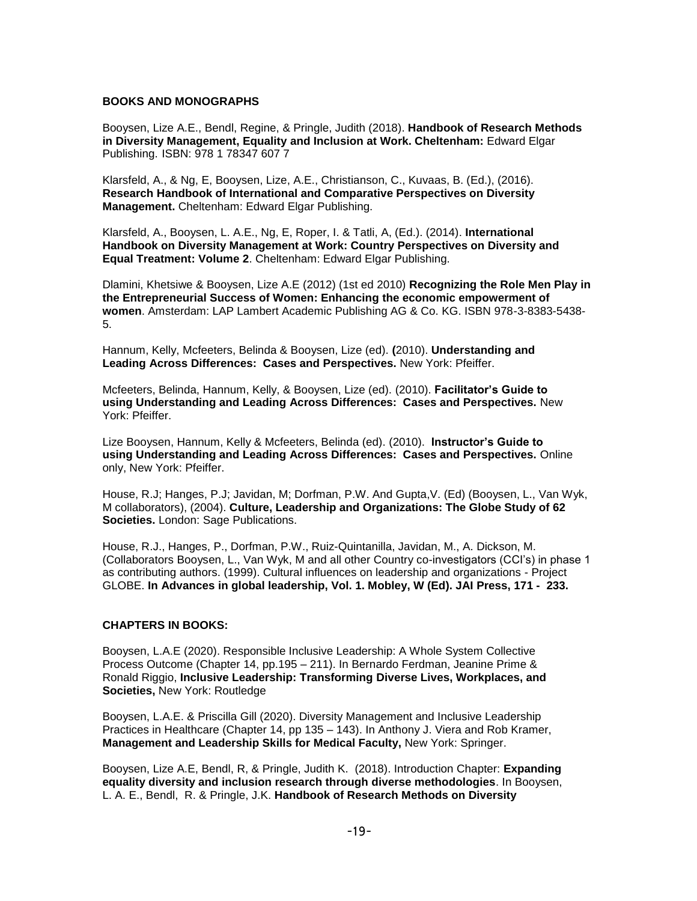#### **BOOKS AND MONOGRAPHS**

Booysen, Lize A.E., Bendl, Regine, & Pringle, Judith (2018). **Handbook of Research Methods in Diversity Management, Equality and Inclusion at Work. Cheltenham:** Edward Elgar Publishing. ISBN: 978 1 78347 607 7

Klarsfeld, A., & Ng, E, Booysen, Lize, A.E., Christianson, C., Kuvaas, B. (Ed.), (2016). **Research Handbook of International and Comparative Perspectives on Diversity Management.** Cheltenham: Edward Elgar Publishing.

Klarsfeld, A., Booysen, L. A.E., Ng, E, Roper, I. & Tatli, A, (Ed.). (2014). **International Handbook on Diversity Management at Work: Country Perspectives on Diversity and Equal Treatment: Volume 2**. Cheltenham: Edward Elgar Publishing.

Dlamini, Khetsiwe & Booysen, Lize A.E (2012) (1st ed 2010) **Recognizing the Role Men Play in the Entrepreneurial Success of Women: Enhancing the economic empowerment of women**. Amsterdam: LAP Lambert Academic Publishing AG & Co. KG. ISBN 978-3-8383-5438- 5.

Hannum, Kelly, Mcfeeters, Belinda & Booysen, Lize (ed). **(**2010). **Understanding and Leading Across Differences: Cases and Perspectives.** New York: Pfeiffer.

Mcfeeters, Belinda, Hannum, Kelly, & Booysen, Lize (ed). (2010). **Facilitator's Guide to using Understanding and Leading Across Differences: Cases and Perspectives.** New York: Pfeiffer.

Lize Booysen, Hannum, Kelly & Mcfeeters, Belinda (ed). (2010). **Instructor's Guide to using Understanding and Leading Across Differences: Cases and Perspectives.** Online only, New York: Pfeiffer.

House, R.J; Hanges, P.J; Javidan, M; Dorfman, P.W. And Gupta,V. (Ed) (Booysen, L., Van Wyk, M collaborators), (2004). **Culture, Leadership and Organizations: The Globe Study of 62 Societies.** London: Sage Publications.

House, R.J., Hanges, P., Dorfman, P.W., Ruiz-Quintanilla, Javidan, M., A. Dickson, M. (Collaborators Booysen, L., Van Wyk, M and all other Country co-investigators (CCI's) in phase 1 as contributing authors. (1999). Cultural influences on leadership and organizations - Project GLOBE. **In Advances in global leadership, Vol. 1. Mobley, W (Ed). JAI Press, 171 - 233.** 

### **CHAPTERS IN BOOKS:**

Booysen, L.A.E (2020). Responsible Inclusive Leadership: A Whole System Collective Process Outcome (Chapter 14, pp.195 – 211). In Bernardo Ferdman, Jeanine Prime & Ronald Riggio, **Inclusive Leadership: Transforming Diverse Lives, Workplaces, and Societies,** New York: Routledge

Booysen, L.A.E. & Priscilla Gill (2020). Diversity Management and Inclusive Leadership Practices in Healthcare (Chapter 14, pp 135 – 143). In Anthony J. Viera and Rob Kramer, **Management and Leadership Skills for Medical Faculty,** New York: Springer.

Booysen, Lize A.E, Bendl, R, & Pringle, Judith K. (2018). Introduction Chapter: **Expanding equality diversity and inclusion research through diverse methodologies**. In Booysen, L. A. E., Bendl, R. & Pringle, J.K. **Handbook of Research Methods on Diversity**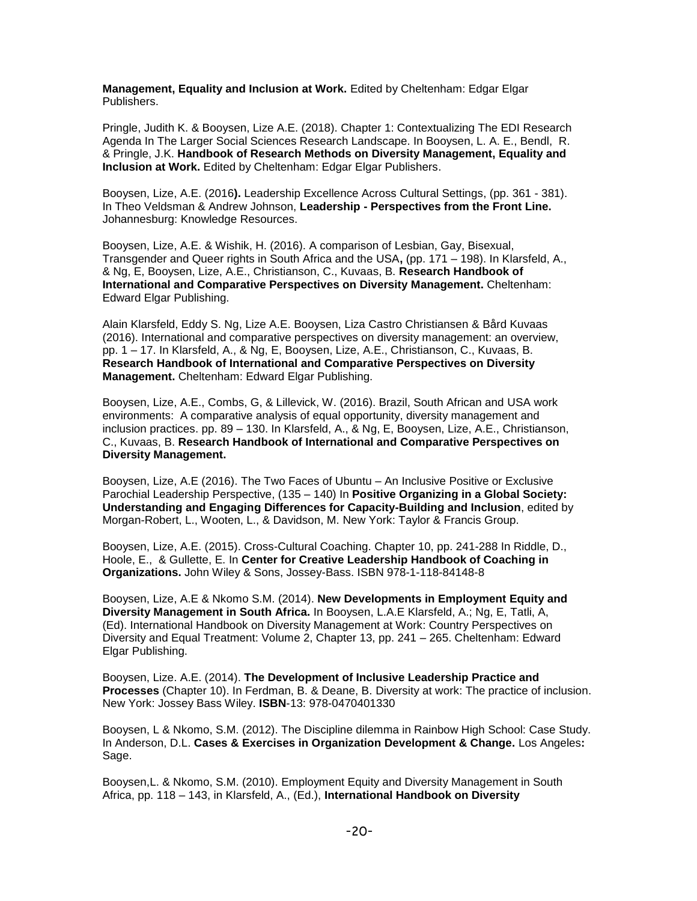**Management, Equality and Inclusion at Work.** Edited by Cheltenham: Edgar Elgar Publishers.

Pringle, Judith K. & Booysen, Lize A.E. (2018). Chapter 1: Contextualizing The EDI Research Agenda In The Larger Social Sciences Research Landscape. In Booysen, L. A. E., Bendl, R. & Pringle, J.K. **Handbook of Research Methods on Diversity Management, Equality and Inclusion at Work.** Edited by Cheltenham: Edgar Elgar Publishers.

Booysen, Lize, A.E. (2016**).** Leadership Excellence Across Cultural Settings, (pp. 361 - 381). In Theo Veldsman & Andrew Johnson, **Leadership - Perspectives from the Front Line.** Johannesburg: Knowledge Resources.

Booysen, Lize, A.E. & Wishik, H. (2016). A comparison of Lesbian, Gay, Bisexual, Transgender and Queer rights in South Africa and the USA**,** (pp. 171 – 198). In Klarsfeld, A., & Ng, E, Booysen, Lize, A.E., Christianson, C., Kuvaas, B. **Research Handbook of International and Comparative Perspectives on Diversity Management.** Cheltenham: Edward Elgar Publishing.

Alain Klarsfeld, Eddy S. Ng, Lize A.E. Booysen, Liza Castro Christiansen & Bård Kuvaas (2016). International and comparative perspectives on diversity management: an overview, pp. 1 – 17. In Klarsfeld, A., & Ng, E, Booysen, Lize, A.E., Christianson, C., Kuvaas, B. **Research Handbook of International and Comparative Perspectives on Diversity Management.** Cheltenham: Edward Elgar Publishing.

Booysen, Lize, A.E., Combs, G, & Lillevick, W. (2016). Brazil, South African and USA work environments: A comparative analysis of equal opportunity, diversity management and inclusion practices. pp. 89 – 130. In Klarsfeld, A., & Ng, E, Booysen, Lize, A.E., Christianson, C., Kuvaas, B. **Research Handbook of International and Comparative Perspectives on Diversity Management.** 

Booysen, Lize, A.E (2016). The Two Faces of Ubuntu – An Inclusive Positive or Exclusive Parochial Leadership Perspective, (135 – 140) In **Positive Organizing in a Global Society: Understanding and Engaging Differences for Capacity-Building and Inclusion**, edited by Morgan-Robert, L., Wooten, L., & Davidson, M. New York: Taylor & Francis Group.

Booysen, Lize, A.E. (2015). Cross-Cultural Coaching. Chapter 10, pp. 241-288 In Riddle, D., Hoole, E., & Gullette, E. In **Center for Creative Leadership Handbook of Coaching in Organizations.** John Wiley & Sons, Jossey-Bass. ISBN 978-1-118-84148-8

Booysen, Lize, A.E & Nkomo S.M. (2014). **New Developments in Employment Equity and Diversity Management in South Africa.** In Booysen, L.A.E Klarsfeld, A.; Ng, E, Tatli, A, (Ed). International Handbook on Diversity Management at Work: Country Perspectives on Diversity and Equal Treatment: Volume 2, Chapter 13, pp. 241 – 265. Cheltenham: Edward Elgar Publishing.

Booysen, Lize. A.E. (2014). **The Development of Inclusive Leadership Practice and Processes** (Chapter 10). In Ferdman, B. & Deane, B. Diversity at work: The practice of inclusion. New York: Jossey Bass Wiley. **ISBN**-13: 978-0470401330

Booysen, L & Nkomo, S.M. (2012). The Discipline dilemma in Rainbow High School: Case Study. In Anderson, D.L. **Cases & Exercises in Organization Development & Change.** Los Angeles**:**  Sage.

Booysen,L. & Nkomo, S.M. (2010). Employment Equity and Diversity Management in South Africa, pp. 118 – 143, in Klarsfeld, A., (Ed.), **International Handbook on Diversity**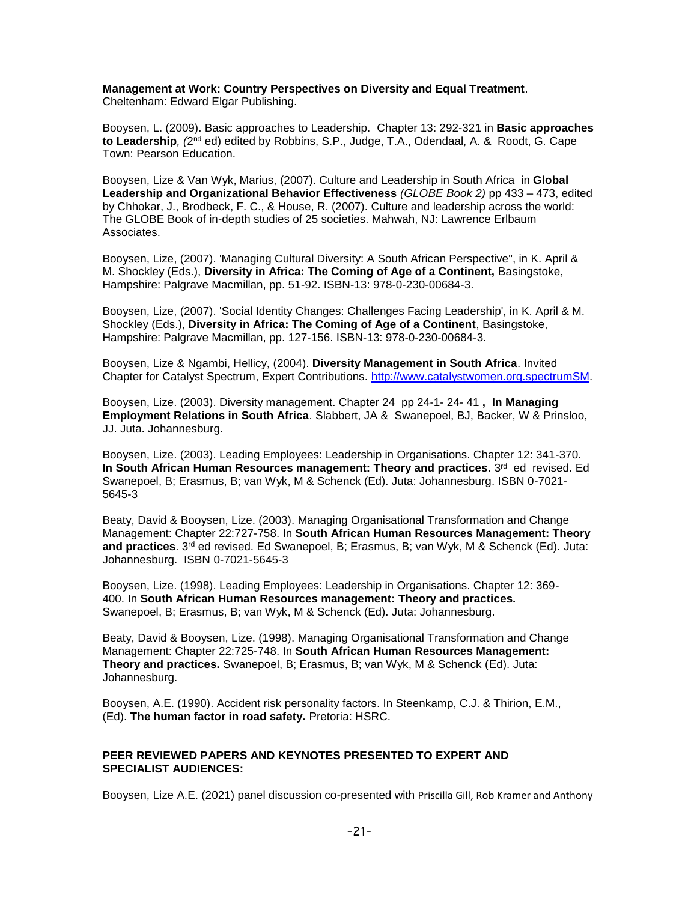#### **Management at Work: Country Perspectives on Diversity and Equal Treatment**. Cheltenham: Edward Elgar Publishing.

Booysen, L. (2009). Basic approaches to Leadership. Chapter 13: 292-321 in **Basic approaches**  to Leadership, (2<sup>nd</sup> ed) edited by Robbins, S.P., Judge, T.A., Odendaal, A. & Roodt, G. Cape Town: Pearson Education.

Booysen, Lize & Van Wyk, Marius, (2007). Culture and Leadership in South Africa in **Global Leadership and Organizational Behavior Effectiveness** *(GLOBE Book 2)* pp 433 – 473, edited by Chhokar, J., Brodbeck, F. C., & House, R. (2007). Culture and leadership across the world: The GLOBE Book of in-depth studies of 25 societies. Mahwah, NJ: Lawrence Erlbaum Associates.

Booysen, Lize, (2007). 'Managing Cultural Diversity: A South African Perspective", in K. April & M. Shockley (Eds.), **Diversity in Africa: The Coming of Age of a Continent,** Basingstoke, Hampshire: Palgrave Macmillan, pp. 51-92. ISBN-13: 978-0-230-00684-3.

Booysen, Lize, (2007). 'Social Identity Changes: Challenges Facing Leadership', in K. April & M. Shockley (Eds.), **Diversity in Africa: The Coming of Age of a Continent**, Basingstoke, Hampshire: Palgrave Macmillan, pp. 127-156. ISBN-13: 978-0-230-00684-3.

Booysen, Lize & Ngambi, Hellicy, (2004). **Diversity Management in South Africa**. Invited Chapter for Catalyst Spectrum, Expert Contributions. [http://www.catalystwomen.org.spectrumSM.](http://www.catalystwomen.org.spectrumsm/)

Booysen, Lize. (2003). Diversity management. Chapter 24 pp 24-1- 24- 41 **, In Managing Employment Relations in South Africa**. Slabbert, JA & Swanepoel, BJ, Backer, W & Prinsloo, JJ. Juta. Johannesburg.

Booysen, Lize. (2003). Leading Employees: Leadership in Organisations. Chapter 12: 341-370. **In South African Human Resources management: Theory and practices. 3rd ed revised. Ed** Swanepoel, B; Erasmus, B; van Wyk, M & Schenck (Ed). Juta: Johannesburg. ISBN 0-7021- 5645-3

Beaty, David & Booysen, Lize. (2003). Managing Organisational Transformation and Change Management: Chapter 22:727-758. In **South African Human Resources Management: Theory and practices**. 3rd ed revised. Ed Swanepoel, B; Erasmus, B; van Wyk, M & Schenck (Ed). Juta: Johannesburg. ISBN 0-7021-5645-3

Booysen, Lize. (1998). Leading Employees: Leadership in Organisations. Chapter 12: 369- 400. In **South African Human Resources management: Theory and practices.** Swanepoel, B; Erasmus, B; van Wyk, M & Schenck (Ed). Juta: Johannesburg.

Beaty, David & Booysen, Lize. (1998). Managing Organisational Transformation and Change Management: Chapter 22:725-748. In **South African Human Resources Management: Theory and practices.** Swanepoel, B; Erasmus, B; van Wyk, M & Schenck (Ed). Juta: Johannesburg.

Booysen, A.E. (1990). Accident risk personality factors. In Steenkamp, C.J. & Thirion, E.M., (Ed). **The human factor in road safety.** Pretoria: HSRC.

#### **PEER REVIEWED PAPERS AND KEYNOTES PRESENTED TO EXPERT AND SPECIALIST AUDIENCES:**

Booysen, Lize A.E. (2021) panel discussion co-presented with Priscilla Gill, Rob Kramer and Anthony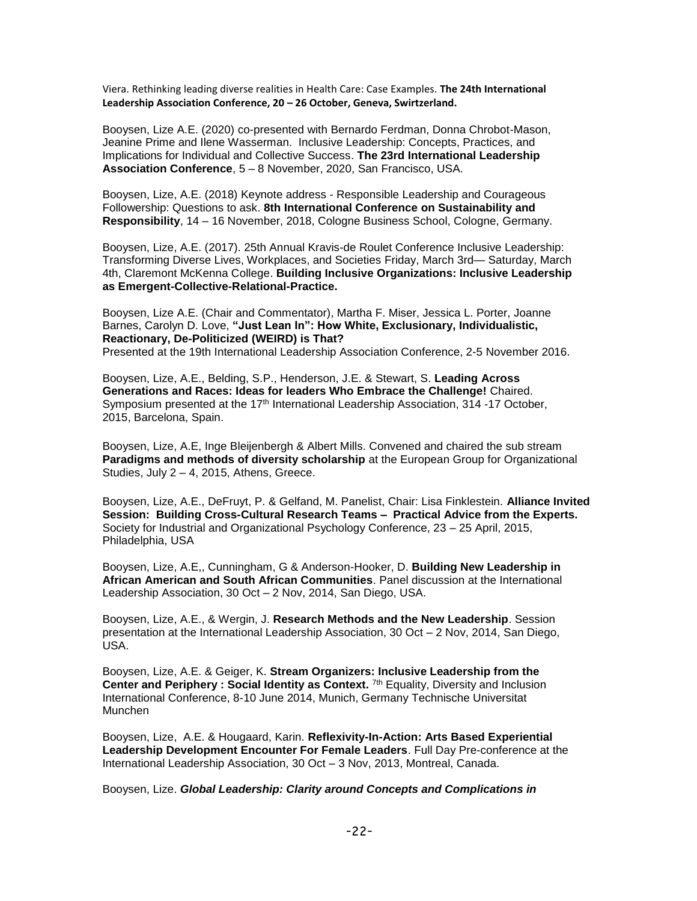Viera. Rethinking leading diverse realities in Health Care: Case Examples. **The 24th International Leadership Association Conference, 20 – 26 October, Geneva, Swirtzerland.**

Booysen, Lize A.E. (2020) co-presented with Bernardo Ferdman, Donna Chrobot-Mason, Jeanine Prime and Ilene Wasserman. Inclusive Leadership: Concepts, Practices, and Implications for Individual and Collective Success. **The 23rd International Leadership Association Conference**, 5 – 8 November, 2020, San Francisco, USA.

Booysen, Lize, A.E. (2018) Keynote address - Responsible Leadership and Courageous Followership: Questions to ask. **8th International Conference on Sustainability and Responsibility**, 14 – 16 November, 2018, Cologne Business School, Cologne, Germany.

Booysen, Lize, A.E. (2017). 25th Annual Kravis-de Roulet Conference Inclusive Leadership: Transforming Diverse Lives, Workplaces, and Societies Friday, March 3rd— Saturday, March 4th, Claremont McKenna College. **Building Inclusive Organizations: Inclusive Leadership as Emergent-Collective-Relational-Practice.**

Booysen, Lize A.E. (Chair and Commentator), Martha F. Miser, Jessica L. Porter, Joanne Barnes, Carolyn D. Love, **"Just Lean In": How White, Exclusionary, Individualistic, Reactionary, De-Politicized (WEIRD) is That?**  Presented at the 19th International Leadership Association Conference, 2-5 November 2016.

Booysen, Lize, A.E., Belding, S.P., Henderson, J.E. & Stewart, S. **Leading Across Generations and Races: Ideas for leaders Who Embrace the Challenge!** Chaired. Symposium presented at the 17<sup>th</sup> International Leadership Association, 314 -17 October, 2015, Barcelona, Spain.

Booysen, Lize, A.E, Inge Bleijenbergh & Albert Mills. Convened and chaired the sub stream **Paradigms and methods of diversity scholarship** at the European Group for Organizational Studies, July 2 – 4, 2015, Athens, Greece.

Booysen, Lize, A.E., DeFruyt, P. & Gelfand, M. Panelist, Chair: Lisa Finklestein. **Alliance Invited Session: Building Cross-Cultural Research Teams – Practical Advice from the Experts.** Society for Industrial and Organizational Psychology Conference, 23 – 25 April, 2015, Philadelphia, USA

Booysen, Lize, A.E,, Cunningham, G & Anderson-Hooker, D. **Building New Leadership in African American and South African Communities**. Panel discussion at the International Leadership Association, 30 Oct – 2 Nov, 2014, San Diego, USA.

Booysen, Lize, A.E., & Wergin, J. **Research Methods and the New Leadership**. Session presentation at the International Leadership Association, 30 Oct – 2 Nov, 2014, San Diego, USA.

Booysen, Lize, A.E. & Geiger, K. **Stream Organizers: Inclusive Leadership from the Center and Periphery : Social Identity as Context.** 7th Equality, Diversity and Inclusion International Conference, 8-10 June 2014, Munich, Germany Technische Universitat Munchen

Booysen, Lize, A.E. & Hougaard, Karin. **Reflexivity-In-Action: Arts Based Experiential Leadership Development Encounter For Female Leaders**. Full Day Pre-conference at the International Leadership Association, 30 Oct – 3 Nov, 2013, Montreal, Canada.

Booysen, Lize. *Global Leadership: Clarity around Concepts and Complications in*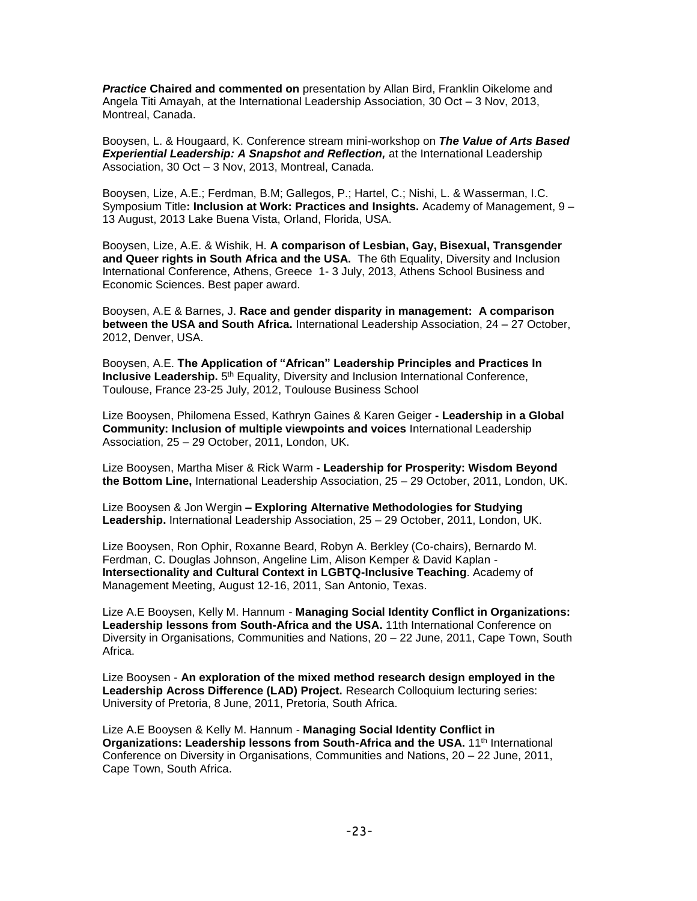**Practice Chaired and commented on** presentation by Allan Bird, Franklin Oikelome and Angela Titi Amayah, at the International Leadership Association, 30 Oct – 3 Nov, 2013, Montreal, Canada.

Booysen, L. & Hougaard, K. Conference stream mini-workshop on *The Value of Arts Based*  **Experiential Leadership: A Snapshot and Reflection, at the International Leadership** Association, 30 Oct – 3 Nov, 2013, Montreal, Canada.

Booysen, Lize, A.E.; Ferdman, B.M; Gallegos, P.; Hartel, C.; Nishi, L. & Wasserman, I.C. Symposium Title**: Inclusion at Work: Practices and Insights.** Academy of Management, 9 – 13 August, 2013 Lake Buena Vista, Orland, Florida, USA.

Booysen, Lize, A.E. & Wishik, H. **A comparison of Lesbian, Gay, Bisexual, Transgender and Queer rights in South Africa and the USA.** The 6th Equality, Diversity and Inclusion International Conference, Athens, Greece 1- 3 July, 2013, Athens School Business and Economic Sciences. Best paper award.

Booysen, A.E & Barnes, J. **Race and gender disparity in management: A comparison between the USA and South Africa.** International Leadership Association, 24 – 27 October, 2012, Denver, USA.

Booysen, A.E. **The Application of "African" Leadership Principles and Practices In Inclusive Leadership.** 5<sup>th</sup> Equality, Diversity and Inclusion International Conference, Toulouse, France 23-25 July, 2012, Toulouse Business School

Lize Booysen, Philomena Essed, Kathryn Gaines & Karen Geiger **- Leadership in a Global Community: Inclusion of multiple viewpoints and voices** International Leadership Association, 25 – 29 October, 2011, London, UK.

Lize Booysen, Martha Miser & Rick Warm **- Leadership for Prosperity: Wisdom Beyond the Bottom Line,** International Leadership Association, 25 – 29 October, 2011, London, UK.

Lize Booysen & Jon Wergin **– Exploring Alternative Methodologies for Studying Leadership.** International Leadership Association, 25 – 29 October, 2011, London, UK.

Lize Booysen, Ron Ophir, Roxanne Beard, Robyn A. Berkley (Co-chairs), Bernardo M. Ferdman, C. Douglas Johnson, Angeline Lim, Alison Kemper & David Kaplan - **Intersectionality and Cultural Context in LGBTQ-Inclusive Teaching**. Academy of Management Meeting, August 12-16, 2011, San Antonio, Texas.

Lize A.E Booysen, Kelly M. Hannum - **Managing Social Identity Conflict in Organizations: Leadership lessons from South-Africa and the USA.** 11th International Conference on Diversity in Organisations, Communities and Nations, 20 – 22 June, 2011, Cape Town, South Africa.

Lize Booysen - **An exploration of the mixed method research design employed in the Leadership Across Difference (LAD) Project.** Research Colloquium lecturing series: University of Pretoria, 8 June, 2011, Pretoria, South Africa.

Lize A.E Booysen & Kelly M. Hannum - **Managing Social Identity Conflict in Organizations: Leadership lessons from South-Africa and the USA.** 11<sup>th</sup> International Conference on Diversity in Organisations, Communities and Nations, 20 – 22 June, 2011, Cape Town, South Africa.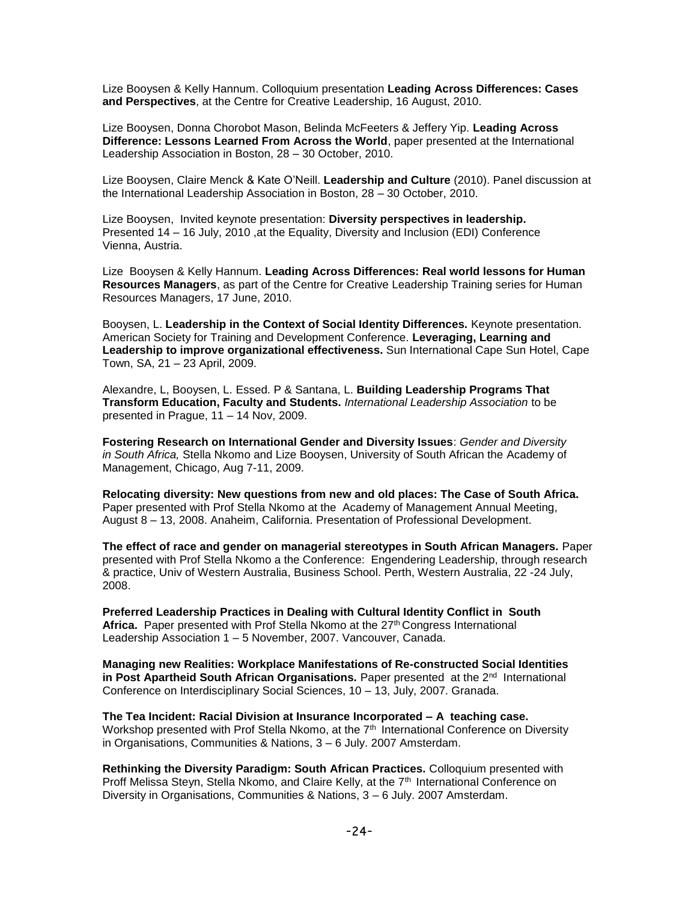Lize Booysen & Kelly Hannum. Colloquium presentation **Leading Across Differences: Cases and Perspectives**, at the Centre for Creative Leadership, 16 August, 2010.

Lize Booysen, Donna Chorobot Mason, Belinda McFeeters & Jeffery Yip. **Leading Across Difference: Lessons Learned From Across the World**, paper presented at the International Leadership Association in Boston, 28 – 30 October, 2010.

Lize Booysen, Claire Menck & Kate O'Neill. **Leadership and Culture** (2010). Panel discussion at the International Leadership Association in Boston, 28 – 30 October, 2010.

Lize Booysen, Invited keynote presentation: **Diversity perspectives in leadership.** Presented 14 – 16 July, 2010 ,at the Equality, Diversity and Inclusion (EDI) Conference Vienna, Austria.

Lize Booysen & Kelly Hannum. **Leading Across Differences: Real world lessons for Human Resources Managers**, as part of the Centre for Creative Leadership Training series for Human Resources Managers, 17 June, 2010.

Booysen, L. **Leadership in the Context of Social Identity Differences.** Keynote presentation. American Society for Training and Development Conference. **Leveraging, Learning and Leadership to improve organizational effectiveness.** Sun International Cape Sun Hotel, Cape Town, SA, 21 – 23 April, 2009.

Alexandre, L, Booysen, L. Essed. P & Santana, L. **Building Leadership Programs That Transform Education, Faculty and Students.** *International Leadership Association* to be presented in Prague, 11 – 14 Nov, 2009.

**Fostering Research on International Gender and Diversity Issues**: *Gender and Diversity in South Africa,* Stella Nkomo and Lize Booysen, University of South African the Academy of Management, Chicago, Aug 7-11, 2009.

**Relocating diversity: New questions from new and old places: The Case of South Africa.** Paper presented with Prof Stella Nkomo at the Academy of Management Annual Meeting, August 8 – 13, 2008. Anaheim, California. Presentation of Professional Development.

**The effect of race and gender on managerial stereotypes in South African Managers.** Paper presented with Prof Stella Nkomo a the Conference: Engendering Leadership, through research & practice, Univ of Western Australia, Business School. Perth, Western Australia, 22 -24 July, 2008.

**Preferred Leadership Practices in Dealing with Cultural Identity Conflict in South**  Africa. Paper presented with Prof Stella Nkomo at the 27<sup>th</sup> Congress International Leadership Association 1 – 5 November, 2007. Vancouver, Canada.

**Managing new Realities: Workplace Manifestations of Re-constructed Social Identities**  in Post Apartheid South African Organisations. Paper presented at the 2<sup>nd</sup> International Conference on Interdisciplinary Social Sciences, 10 – 13, July, 2007. Granada.

**The Tea Incident: Racial Division at Insurance Incorporated – A teaching case.**  Workshop presented with Prof Stella Nkomo, at the 7<sup>th</sup> International Conference on Diversity in Organisations, Communities & Nations, 3 – 6 July. 2007 Amsterdam.

**Rethinking the Diversity Paradigm: South African Practices.** Colloquium presented with Proff Melissa Steyn, Stella Nkomo, and Claire Kelly, at the 7<sup>th</sup> International Conference on Diversity in Organisations, Communities & Nations, 3 – 6 July. 2007 Amsterdam.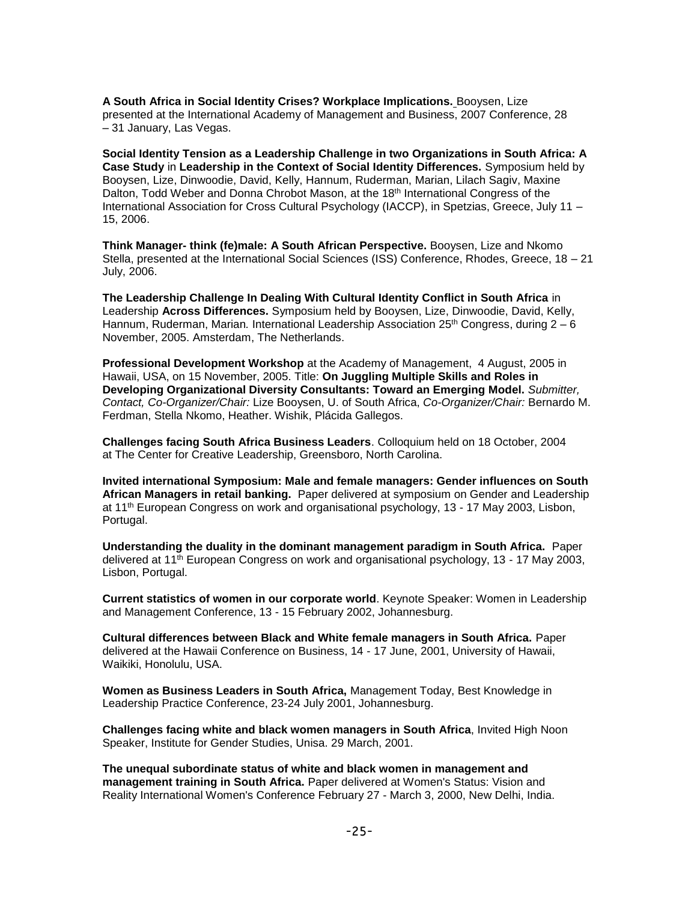**A South Africa in Social Identity Crises? Workplace Implications.** Booysen, Lize presented at the International Academy of Management and Business, 2007 Conference, 28 – 31 January, Las Vegas.

**Social Identity Tension as a Leadership Challenge in two Organizations in South Africa: A Case Study** in **Leadership in the Context of Social Identity Differences.** Symposium held by Booysen, Lize, Dinwoodie, David, Kelly, Hannum, Ruderman, Marian, Lilach Sagiv, Maxine Dalton, Todd Weber and Donna Chrobot Mason, at the 18<sup>th</sup> International Congress of the International Association for Cross Cultural Psychology (IACCP), in Spetzias, Greece, July 11 – 15, 2006.

**Think Manager- think (fe)male: A South African Perspective.** Booysen, Lize and Nkomo Stella, presented at the International Social Sciences (ISS) Conference, Rhodes, Greece, 18 – 21 July, 2006.

**The Leadership Challenge In Dealing With Cultural Identity Conflict in South Africa** in Leadership **Across Differences.** Symposium held by Booysen, Lize, Dinwoodie, David, Kelly, Hannum, Ruderman, Marian. International Leadership Association 25<sup>th</sup> Congress, during 2 – 6 November, 2005. Amsterdam, The Netherlands.

**Professional Development Workshop** at the Academy of Management, 4 August, 2005 in Hawaii, USA, on 15 November, 2005. Title: **On Juggling Multiple Skills and Roles in Developing Organizational Diversity Consultants: Toward an Emerging Model.** *Submitter, Contact, Co-Organizer/Chair:* Lize Booysen, U. of South Africa, *Co-Organizer/Chair:* Bernardo M. Ferdman, Stella Nkomo, Heather. Wishik, Plácida Gallegos.

**Challenges facing South Africa Business Leaders**. Colloquium held on 18 October, 2004 at The Center for Creative Leadership, Greensboro, North Carolina.

**Invited international Symposium: Male and female managers: Gender influences on South African Managers in retail banking.** Paper delivered at symposium on Gender and Leadership at 11th European Congress on work and organisational psychology, 13 - 17 May 2003, Lisbon, Portugal.

**Understanding the duality in the dominant management paradigm in South Africa.** Paper delivered at 11<sup>th</sup> European Congress on work and organisational psychology, 13 - 17 May 2003, Lisbon, Portugal.

**Current statistics of women in our corporate world**. Keynote Speaker: Women in Leadership and Management Conference, 13 - 15 February 2002, Johannesburg.

**Cultural differences between Black and White female managers in South Africa.** Paper delivered at the Hawaii Conference on Business, 14 - 17 June, 2001, University of Hawaii, Waikiki, Honolulu, USA.

**Women as Business Leaders in South Africa,** Management Today, Best Knowledge in Leadership Practice Conference, 23-24 July 2001, Johannesburg.

**Challenges facing white and black women managers in South Africa**, Invited High Noon Speaker, Institute for Gender Studies, Unisa. 29 March, 2001.

**The unequal subordinate status of white and black women in management and management training in South Africa.** Paper delivered at Women's Status: Vision and Reality International Women's Conference February 27 - March 3, 2000, New Delhi, India.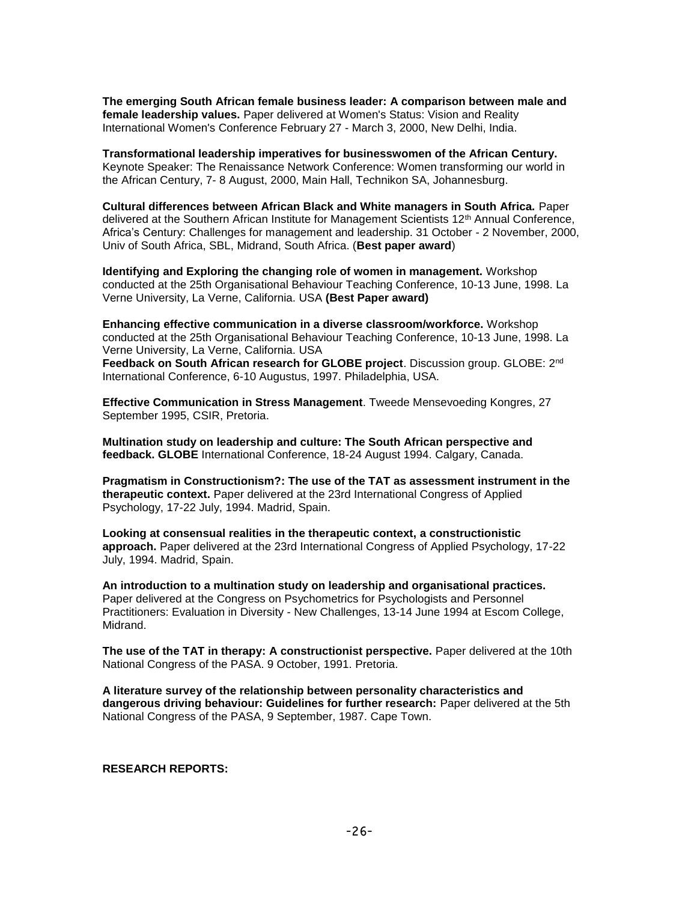**The emerging South African female business leader: A comparison between male and female leadership values.** Paper delivered at Women's Status: Vision and Reality International Women's Conference February 27 - March 3, 2000, New Delhi, India.

**Transformational leadership imperatives for businesswomen of the African Century.** Keynote Speaker: The Renaissance Network Conference: Women transforming our world in the African Century, 7- 8 August, 2000, Main Hall, Technikon SA, Johannesburg.

**Cultural differences between African Black and White managers in South Africa.** Paper delivered at the Southern African Institute for Management Scientists 12<sup>th</sup> Annual Conference, Africa's Century: Challenges for management and leadership. 31 October - 2 November, 2000, Univ of South Africa, SBL, Midrand, South Africa. (**Best paper award**)

**Identifying and Exploring the changing role of women in management.** Workshop conducted at the 25th Organisational Behaviour Teaching Conference, 10-13 June, 1998. La Verne University, La Verne, California. USA **(Best Paper award)**

**Enhancing effective communication in a diverse classroom/workforce.** Workshop conducted at the 25th Organisational Behaviour Teaching Conference, 10-13 June, 1998. La Verne University, La Verne, California. USA

**Feedback on South African research for GLOBE project**. Discussion group. GLOBE: 2nd International Conference, 6-10 Augustus, 1997. Philadelphia, USA.

**Effective Communication in Stress Management**. Tweede Mensevoeding Kongres, 27 September 1995, CSIR, Pretoria.

**Multination study on leadership and culture: The South African perspective and feedback. GLOBE** International Conference, 18-24 August 1994. Calgary, Canada.

**Pragmatism in Constructionism?: The use of the TAT as assessment instrument in the therapeutic context.** Paper delivered at the 23rd International Congress of Applied Psychology, 17-22 July, 1994. Madrid, Spain.

**Looking at consensual realities in the therapeutic context, a constructionistic approach.** Paper delivered at the 23rd International Congress of Applied Psychology, 17-22 July, 1994. Madrid, Spain.

**An introduction to a multination study on leadership and organisational practices.** Paper delivered at the Congress on Psychometrics for Psychologists and Personnel Practitioners: Evaluation in Diversity - New Challenges, 13-14 June 1994 at Escom College, Midrand.

**The use of the TAT in therapy: A constructionist perspective.** Paper delivered at the 10th National Congress of the PASA. 9 October, 1991. Pretoria.

**A literature survey of the relationship between personality characteristics and dangerous driving behaviour: Guidelines for further research:** Paper delivered at the 5th National Congress of the PASA, 9 September, 1987. Cape Town.

#### **RESEARCH REPORTS:**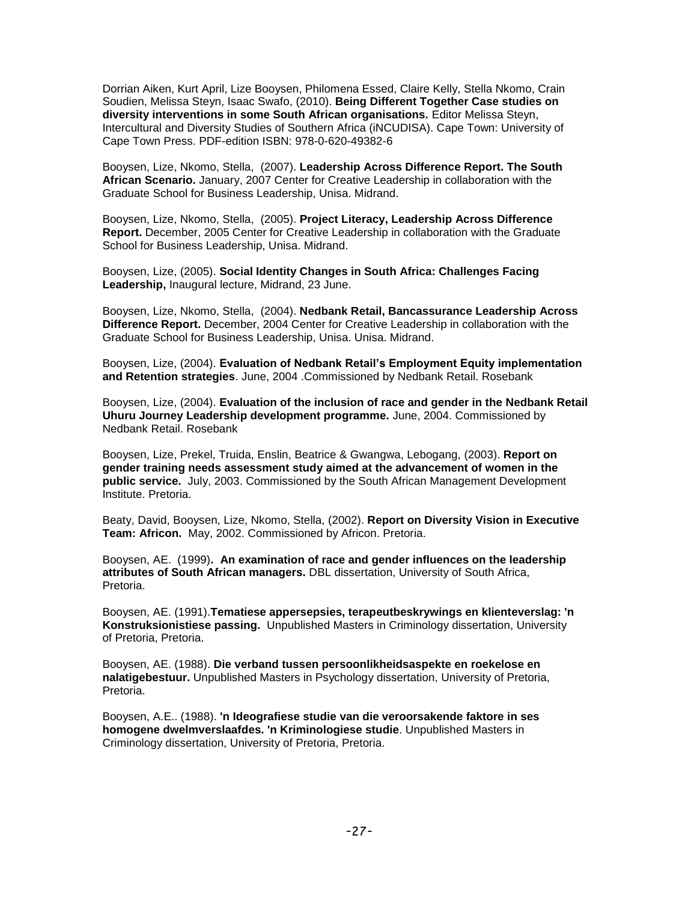Dorrian Aiken, Kurt April, Lize Booysen, Philomena Essed, Claire Kelly, Stella Nkomo, Crain Soudien, Melissa Steyn, Isaac Swafo, (2010). **Being Different Together Case studies on diversity interventions in some South African organisations.** Editor Melissa Steyn, Intercultural and Diversity Studies of Southern Africa (iNCUDISA). Cape Town: University of Cape Town Press. PDF-edition ISBN: 978-0-620-49382-6

Booysen, Lize, Nkomo, Stella, (2007). **Leadership Across Difference Report. The South African Scenario.** January, 2007 Center for Creative Leadership in collaboration with the Graduate School for Business Leadership, Unisa. Midrand.

Booysen, Lize, Nkomo, Stella, (2005). **Project Literacy, Leadership Across Difference Report.** December, 2005 Center for Creative Leadership in collaboration with the Graduate School for Business Leadership, Unisa. Midrand.

Booysen, Lize, (2005). **Social Identity Changes in South Africa: Challenges Facing Leadership,** Inaugural lecture, Midrand, 23 June.

Booysen, Lize, Nkomo, Stella, (2004). **Nedbank Retail, Bancassurance Leadership Across Difference Report.** December, 2004 Center for Creative Leadership in collaboration with the Graduate School for Business Leadership, Unisa. Unisa. Midrand.

Booysen, Lize, (2004). **Evaluation of Nedbank Retail's Employment Equity implementation and Retention strategies**. June, 2004 .Commissioned by Nedbank Retail. Rosebank

Booysen, Lize, (2004). **Evaluation of the inclusion of race and gender in the Nedbank Retail Uhuru Journey Leadership development programme.** June, 2004. Commissioned by Nedbank Retail. Rosebank

Booysen, Lize, Prekel, Truida, Enslin, Beatrice & Gwangwa, Lebogang, (2003). **Report on gender training needs assessment study aimed at the advancement of women in the public service.** July, 2003. Commissioned by the South African Management Development Institute. Pretoria.

Beaty, David, Booysen, Lize, Nkomo, Stella, (2002). **Report on Diversity Vision in Executive Team: Africon.** May, 2002. Commissioned by Africon. Pretoria.

Booysen, AE. (1999)**. An examination of race and gender influences on the leadership attributes of South African managers.** DBL dissertation, University of South Africa, Pretoria.

Booysen, AE. (1991).**Tematiese appersepsies, terapeutbeskrywings en klienteverslag: 'n Konstruksionistiese passing.** Unpublished Masters in Criminology dissertation, University of Pretoria, Pretoria.

Booysen, AE. (1988). **Die verband tussen persoonlikheidsaspekte en roekelose en nalatigebestuur.** Unpublished Masters in Psychology dissertation, University of Pretoria, Pretoria.

Booysen, A.E.. (1988). **'n Ideografiese studie van die veroorsakende faktore in ses homogene dwelmverslaafdes. 'n Kriminologiese studie**. Unpublished Masters in Criminology dissertation, University of Pretoria, Pretoria.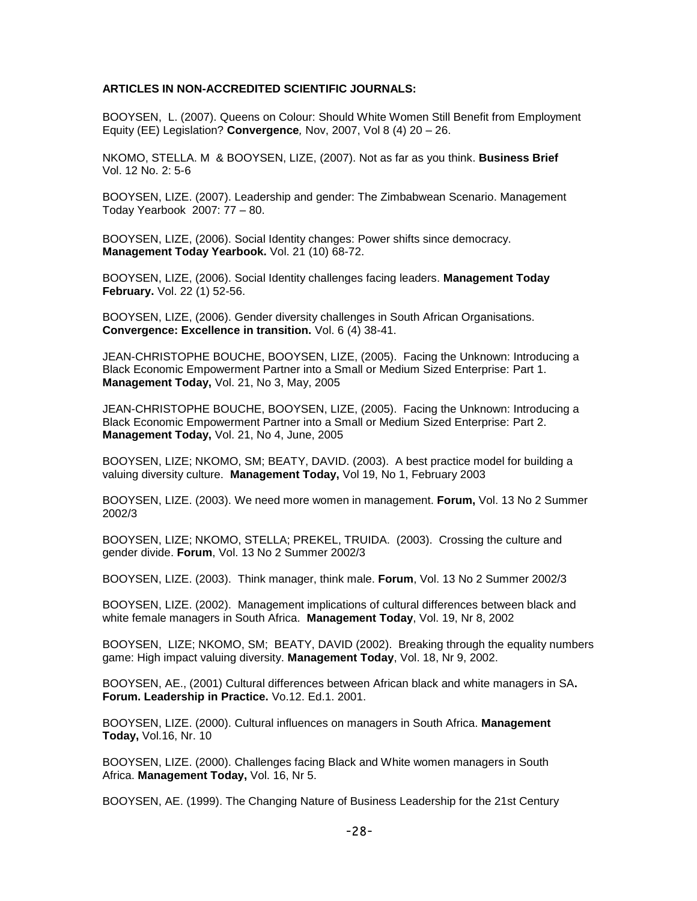### **ARTICLES IN NON-ACCREDITED SCIENTIFIC JOURNALS:**

BOOYSEN, L. (2007). Queens on Colour: Should White Women Still Benefit from Employment Equity (EE) Legislation? **Convergence***,* Nov, 2007, Vol 8 (4) 20 – 26.

NKOMO, STELLA. M & BOOYSEN, LIZE, (2007). Not as far as you think. **Business Brief**  Vol. 12 No. 2: 5-6

BOOYSEN, LIZE. (2007). Leadership and gender: The Zimbabwean Scenario. Management Today Yearbook 2007: 77 – 80.

BOOYSEN, LIZE, (2006). Social Identity changes: Power shifts since democracy. **Management Today Yearbook.** Vol. 21 (10) 68-72.

BOOYSEN, LIZE, (2006). Social Identity challenges facing leaders. **Management Today February.** Vol. 22 (1) 52-56.

BOOYSEN, LIZE, (2006). Gender diversity challenges in South African Organisations. **Convergence: Excellence in transition.** Vol. 6 (4) 38-41.

JEAN-CHRISTOPHE BOUCHE, BOOYSEN, LIZE, (2005). Facing the Unknown: Introducing a Black Economic Empowerment Partner into a Small or Medium Sized Enterprise: Part 1. **Management Today,** Vol. 21, No 3, May, 2005

JEAN-CHRISTOPHE BOUCHE, BOOYSEN, LIZE, (2005). Facing the Unknown: Introducing a Black Economic Empowerment Partner into a Small or Medium Sized Enterprise: Part 2. **Management Today,** Vol. 21, No 4, June, 2005

BOOYSEN, LIZE; NKOMO, SM; BEATY, DAVID. (2003). A best practice model for building a valuing diversity culture. **Management Today,** Vol 19, No 1, February 2003

BOOYSEN, LIZE. (2003). We need more women in management. **Forum,** Vol. 13 No 2 Summer 2002/3

BOOYSEN, LIZE; NKOMO, STELLA; PREKEL, TRUIDA. (2003). Crossing the culture and gender divide. **Forum**, Vol. 13 No 2 Summer 2002/3

BOOYSEN, LIZE. (2003). Think manager, think male. **Forum**, Vol. 13 No 2 Summer 2002/3

BOOYSEN, LIZE. (2002). Management implications of cultural differences between black and white female managers in South Africa. **Management Today**, Vol. 19, Nr 8, 2002

BOOYSEN, LIZE; NKOMO, SM; BEATY, DAVID (2002). Breaking through the equality numbers game: High impact valuing diversity. **Management Today**, Vol. 18, Nr 9, 2002.

BOOYSEN, AE., (2001) Cultural differences between African black and white managers in SA**. Forum. Leadership in Practice.** Vo.12. Ed.1. 2001.

BOOYSEN, LIZE. (2000). Cultural influences on managers in South Africa. **Management Today,** Vol.16, Nr. 10

BOOYSEN, LIZE. (2000). Challenges facing Black and White women managers in South Africa. **Management Today,** Vol. 16, Nr 5.

BOOYSEN, AE. (1999). The Changing Nature of Business Leadership for the 21st Century